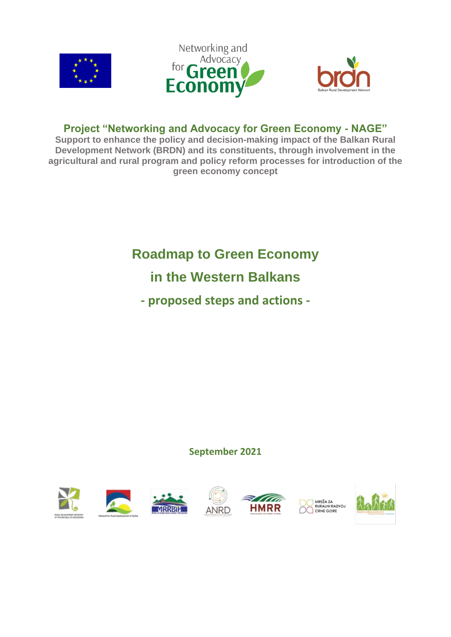





### **Project "Networking and Advocacy for Green Economy - NAGE"**

**Support to enhance the policy and decision-making impact of the Balkan Rural Development Network (BRDN) and its constituents, through involvement in the agricultural and rural program and policy reform processes for introduction of the green economy concept**

# **Roadmap to Green Economy**

# **in the Western Balkans**

**- proposed steps and actions -**

### **September 2021**

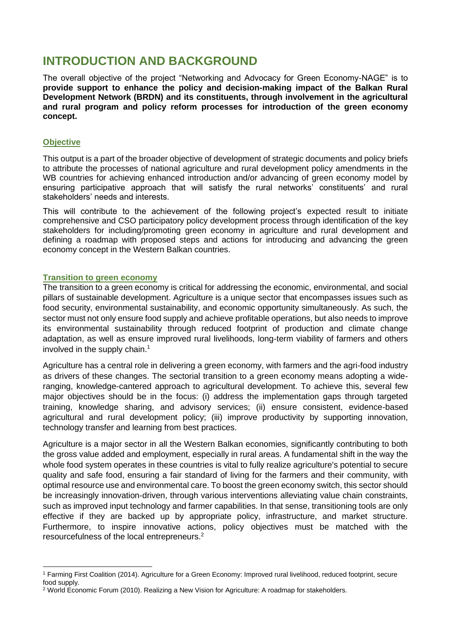### **INTRODUCTION AND BACKGROUND**

The overall objective of the project "Networking and Advocacy for Green Economy-NAGE" is to **provide support to enhance the policy and decision-making impact of the Balkan Rural Development Network (BRDN) and its constituents, through involvement in the agricultural and rural program and policy reform processes for introduction of the green economy concept.** 

#### **Objective**

This output is a part of the broader objective of development of strategic documents and policy briefs to attribute the processes of national agriculture and rural development policy amendments in the WB countries for achieving enhanced introduction and/or advancing of green economy model by ensuring participative approach that will satisfy the rural networks' constituents' and rural stakeholders' needs and interests.

This will contribute to the achievement of the following project's expected result to initiate comprehensive and CSO participatory policy development process through identification of the key stakeholders for including/promoting green economy in agriculture and rural development and defining a roadmap with proposed steps and actions for introducing and advancing the green economy concept in the Western Balkan countries.

#### **Transition to green economy**

The transition to a green economy is critical for addressing the economic, environmental, and social pillars of sustainable development. Agriculture is a unique sector that encompasses issues such as food security, environmental sustainability, and economic opportunity simultaneously. As such, the sector must not only ensure food supply and achieve profitable operations, but also needs to improve its environmental sustainability through reduced footprint of production and climate change adaptation, as well as ensure improved rural livelihoods, long-term viability of farmers and others involved in the supply chain.<sup>1</sup>

Agriculture has a central role in delivering a green economy, with farmers and the agri-food industry as drivers of these changes. The sectorial transition to a green economy means adopting a wideranging, knowledge-cantered approach to agricultural development. To achieve this, several few major objectives should be in the focus: (i) address the implementation gaps through targeted training, knowledge sharing, and advisory services; (ii) ensure consistent, evidence-based agricultural and rural development policy; (iii) improve productivity by supporting innovation, technology transfer and learning from best practices.

Agriculture is a major sector in all the Western Balkan economies, significantly contributing to both the gross value added and employment, especially in rural areas. A fundamental shift in the way the whole food system operates in these countries is vital to fully realize agriculture's potential to secure quality and safe food, ensuring a fair standard of living for the farmers and their community, with optimal resource use and environmental care. To boost the green economy switch, this sector should be increasingly innovation-driven, through various interventions alleviating value chain constraints, such as improved input technology and farmer capabilities. In that sense, transitioning tools are only effective if they are backed up by appropriate policy, infrastructure, and market structure. Furthermore, to inspire innovative actions, policy objectives must be matched with the resourcefulness of the local entrepreneurs.<sup>2</sup>

<sup>1</sup> Farming First Coalition (2014). Agriculture for a Green Economy: Improved rural livelihood, reduced footprint, secure food supply.

<sup>2</sup> World Economic Forum (2010). Realizing a New Vision for Agriculture: A roadmap for stakeholders.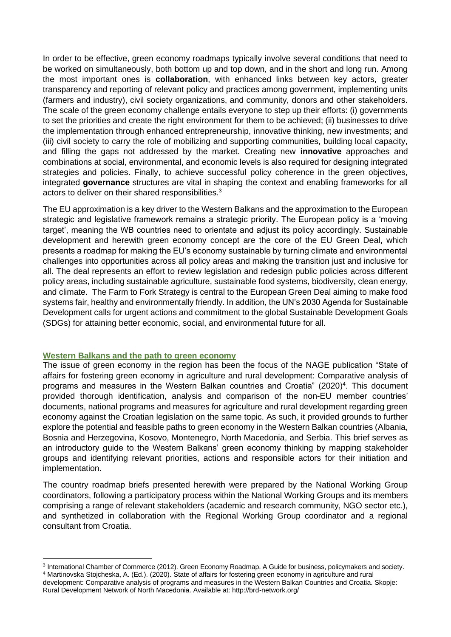In order to be effective, green economy roadmaps typically involve several conditions that need to be worked on simultaneously, both bottom up and top down, and in the short and long run. Among the most important ones is **collaboration**, with enhanced links between key actors, greater transparency and reporting of relevant policy and practices among government, implementing units (farmers and industry), civil society organizations, and community, donors and other stakeholders. The scale of the green economy challenge entails everyone to step up their efforts: (i) governments to set the priorities and create the right environment for them to be achieved; (ii) businesses to drive the implementation through enhanced entrepreneurship, innovative thinking, new investments; and (iii) civil society to carry the role of mobilizing and supporting communities, building local capacity, and filling the gaps not addressed by the market. Creating new **innovative** approaches and combinations at social, environmental, and economic levels is also required for designing integrated strategies and policies. Finally, to achieve successful policy coherence in the green objectives, integrated **governance** structures are vital in shaping the context and enabling frameworks for all actors to deliver on their shared responsibilities.<sup>3</sup>

The EU approximation is a key driver to the Western Balkans and the approximation to the European strategic and legislative framework remains a strategic priority. The European policy is a 'moving target', meaning the WB countries need to orientate and adjust its policy accordingly. Sustainable development and herewith green economy concept are the core of the EU Green Deal, which presents a roadmap for making the EU's economy sustainable by turning climate and environmental challenges into opportunities across all policy areas and making the transition just and inclusive for all. The deal represents an effort to review legislation and redesign public policies across different policy areas, including sustainable agriculture, sustainable food systems, biodiversity, clean energy, and climate. The Farm to Fork Strategy is central to the European Green Deal aiming to make food systems fair, healthy and environmentally friendly. In addition, the UN's 2030 Agenda for Sustainable Development calls for urgent actions and commitment to the global Sustainable Development Goals (SDGs) for attaining better economic, social, and environmental future for all.

#### **Western Balkans and the path to green economy**

The issue of green economy in the region has been the focus of the NAGE publication "State of affairs for fostering green economy in agriculture and rural development: Comparative analysis of programs and measures in the Western Balkan countries and Croatia" (2020)<sup>4</sup>. This document provided thorough identification, analysis and comparison of the non-EU member countries' documents, national programs and measures for agriculture and rural development regarding green economy against the Croatian legislation on the same topic. As such, it provided grounds to further explore the potential and feasible paths to green economy in the Western Balkan countries (Albania, Bosnia and Herzegovina, Kosovo, Montenegro, North Macedonia, and Serbia. This brief serves as an introductory guide to the Western Balkans' green economy thinking by mapping stakeholder groups and identifying relevant priorities, actions and responsible actors for their initiation and implementation.

The country roadmap briefs presented herewith were prepared by the National Working Group coordinators, following a participatory process within the National Working Groups and its members comprising a range of relevant stakeholders (academic and research community, NGO sector etc.), and synthetized in collaboration with the Regional Working Group coordinator and a regional consultant from Croatia.

<sup>3</sup> International Chamber of Commerce (2012). Green Economy Roadmap. A Guide for business, policymakers and society. <sup>4</sup> Martinovska Stojcheska, A. (Ed.). (2020). State of affairs for fostering green economy in agriculture and rural

development: Comparative analysis of programs and measures in the Western Balkan Countries and Croatia. Skopje: Rural Development Network of North Macedonia. Available at: http://brd-network.org/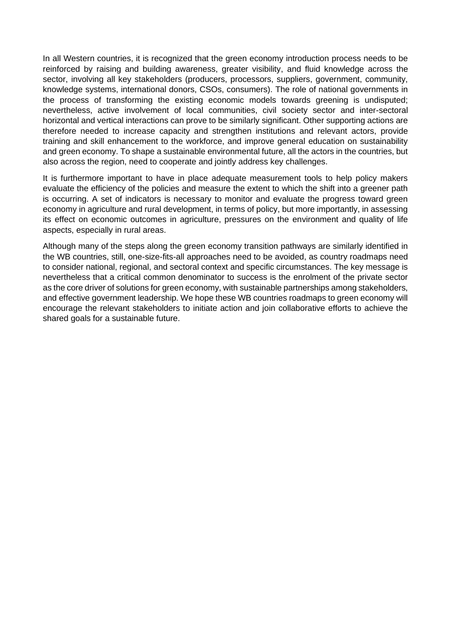In all Western countries, it is recognized that the green economy introduction process needs to be reinforced by raising and building awareness, greater visibility, and fluid knowledge across the sector, involving all key stakeholders (producers, processors, suppliers, government, community, knowledge systems, international donors, CSOs, consumers). The role of national governments in the process of transforming the existing economic models towards greening is undisputed; nevertheless, active involvement of local communities, civil society sector and inter-sectoral horizontal and vertical interactions can prove to be similarly significant. Other supporting actions are therefore needed to increase capacity and strengthen institutions and relevant actors, provide training and skill enhancement to the workforce, and improve general education on sustainability and green economy. To shape a sustainable environmental future, all the actors in the countries, but also across the region, need to cooperate and jointly address key challenges.

It is furthermore important to have in place adequate measurement tools to help policy makers evaluate the efficiency of the policies and measure the extent to which the shift into a greener path is occurring. A set of indicators is necessary to monitor and evaluate the progress toward green economy in agriculture and rural development, in terms of policy, but more importantly, in assessing its effect on economic outcomes in agriculture, pressures on the environment and quality of life aspects, especially in rural areas.

Although many of the steps along the green economy transition pathways are similarly identified in the WB countries, still, one-size-fits-all approaches need to be avoided, as country roadmaps need to consider national, regional, and sectoral context and specific circumstances. The key message is nevertheless that a critical common denominator to success is the enrolment of the private sector as the core driver of solutions for green economy, with sustainable partnerships among stakeholders, and effective government leadership. We hope these WB countries roadmaps to green economy will encourage the relevant stakeholders to initiate action and join collaborative efforts to achieve the shared goals for a sustainable future.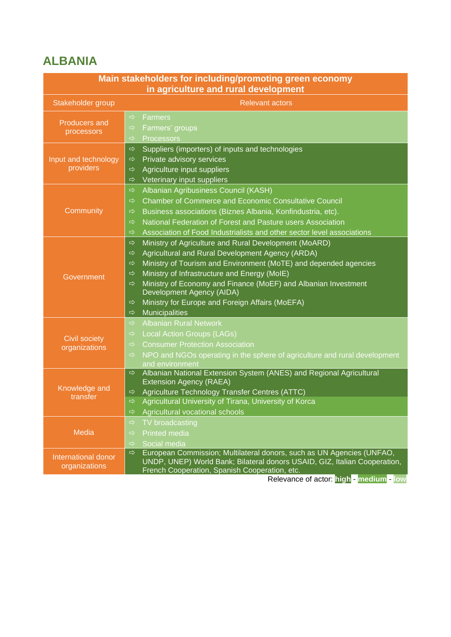# **ALBANIA**

|                                       | Main stakeholders for including/promoting green economy<br>in agriculture and rural development                                                                                                                                                                                                                                                                                                                                                                                                                     |
|---------------------------------------|---------------------------------------------------------------------------------------------------------------------------------------------------------------------------------------------------------------------------------------------------------------------------------------------------------------------------------------------------------------------------------------------------------------------------------------------------------------------------------------------------------------------|
| Stakeholder group                     | <b>Relevant actors</b>                                                                                                                                                                                                                                                                                                                                                                                                                                                                                              |
| <b>Producers and</b><br>processors    | <b>Farmers</b><br>$\Rightarrow$<br>Farmers' groups<br>⇨<br>$\Rightarrow$<br>Processors                                                                                                                                                                                                                                                                                                                                                                                                                              |
| Input and technology<br>providers     | $\Rightarrow$<br>Suppliers (importers) of inputs and technologies<br>Private advisory services<br>$\Rightarrow$<br>Agriculture input suppliers<br>$\Rightarrow$<br>Veterinary input suppliers<br>$\Rightarrow$                                                                                                                                                                                                                                                                                                      |
| Community                             | Albanian Agribusiness Council (KASH)<br>$\Rightarrow$<br><b>Chamber of Commerce and Economic Consultative Council</b><br>$\Rightarrow$<br>Business associations (Biznes Albania, Konfindustria, etc).<br>$\Rightarrow$<br>National Federation of Forest and Pasture users Association<br>$\Rightarrow$<br>Association of Food Industrialists and other sector level associations<br>⇨                                                                                                                               |
| Government                            | Ministry of Agriculture and Rural Development (MoARD)<br>$\Rightarrow$<br>Agricultural and Rural Development Agency (ARDA)<br>$\Rightarrow$<br>Ministry of Tourism and Environment (MoTE) and depended agencies<br>⇨<br>Ministry of Infrastructure and Energy (MoIE)<br>$\Rightarrow$<br>Ministry of Economy and Finance (MoEF) and Albanian Investment<br>$\Rightarrow$<br>Development Agency (AIDA)<br>Ministry for Europe and Foreign Affairs (MoEFA)<br>$\Rightarrow$<br><b>Municipalities</b><br>$\Rightarrow$ |
| <b>Civil society</b><br>organizations | <b>Albanian Rural Network</b><br>$\Rightarrow$<br><b>Local Action Groups (LAGs)</b><br>$\Rightarrow$<br><b>Consumer Protection Association</b><br>$\Rightarrow$<br>NPO and NGOs operating in the sphere of agriculture and rural development<br>$\Rightarrow$<br>and environment                                                                                                                                                                                                                                    |
| Knowledge and<br>transfer             | Albanian National Extension System (ANES) and Regional Agricultural<br>$\Rightarrow$<br>Extension Agency (RAEA)<br>Agriculture Technology Transfer Centres (ATTC)<br>$\Rightarrow$<br>Agricultural University of Tirana, University of Korca<br>$\Rightarrow$<br>Agricultural vocational schools<br>$\Rightarrow$                                                                                                                                                                                                   |
| Media                                 | TV broadcasting<br>$\Rightarrow$<br><b>Printed media</b><br>$\Rightarrow$<br>Social media<br>$\Rightarrow$                                                                                                                                                                                                                                                                                                                                                                                                          |
| International donor<br>organizations  | European Commission; Multilateral donors, such as UN Agencies (UNFAO,<br>$\Rightarrow$<br>UNDP, UNEP) World Bank; Bilateral donors USAID, GIZ, Italian Cooperation,<br>French Cooperation, Spanish Cooperation, etc.<br>Relevance of actor: high - medium - low                                                                                                                                                                                                                                                     |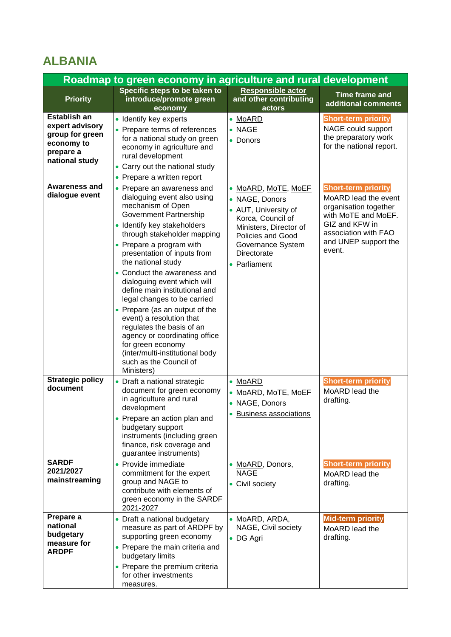## **ALBANIA**

| Roadmap to green economy in agriculture and rural development                                          |                                                                                                                                                                                                                                                                                                                                                                                                                                                                                                                                                                                                                          |                                                                                                                                                                                              |                                                                                                                                                                                |  |  |
|--------------------------------------------------------------------------------------------------------|--------------------------------------------------------------------------------------------------------------------------------------------------------------------------------------------------------------------------------------------------------------------------------------------------------------------------------------------------------------------------------------------------------------------------------------------------------------------------------------------------------------------------------------------------------------------------------------------------------------------------|----------------------------------------------------------------------------------------------------------------------------------------------------------------------------------------------|--------------------------------------------------------------------------------------------------------------------------------------------------------------------------------|--|--|
| <b>Priority</b>                                                                                        | Specific steps to be taken to<br>introduce/promote green<br>economy                                                                                                                                                                                                                                                                                                                                                                                                                                                                                                                                                      | Responsible actor<br>and other contributing<br>actors                                                                                                                                        | <b>Time frame and</b><br>additional comments                                                                                                                                   |  |  |
| <b>Establish an</b><br>expert advisory<br>group for green<br>economy to<br>prepare a<br>national study | • Identify key experts<br>• Prepare terms of references<br>for a national study on green<br>economy in agriculture and<br>rural development<br>• Carry out the national study<br>• Prepare a written report                                                                                                                                                                                                                                                                                                                                                                                                              | • MoARD<br>$\bullet$ NAGE<br>• Donors                                                                                                                                                        | <b>Short-term priority</b><br>NAGE could support<br>the preparatory work<br>for the national report.                                                                           |  |  |
| <b>Awareness and</b><br>dialogue event                                                                 | • Prepare an awareness and<br>dialoguing event also using<br>mechanism of Open<br><b>Government Partnership</b><br>• Identify key stakeholders<br>through stakeholder mapping<br>• Prepare a program with<br>presentation of inputs from<br>the national study<br>• Conduct the awareness and<br>dialoguing event which will<br>define main institutional and<br>legal changes to be carried<br>• Prepare (as an output of the<br>event) a resolution that<br>regulates the basis of an<br>agency or coordinating office<br>for green economy<br>(inter/multi-institutional body<br>such as the Council of<br>Ministers) | • MoARD, MoTE, MoEF<br>• NAGE, Donors<br>• AUT, University of<br>Korca, Council of<br>Ministers, Director of<br><b>Policies and Good</b><br>Governance System<br>Directorate<br>• Parliament | <b>Short-term priority</b><br>MoARD lead the event<br>organisation together<br>with MoTE and MoEF.<br>GIZ and KFW in<br>association with FAO<br>and UNEP support the<br>event. |  |  |
| <b>Strategic policy</b><br>document                                                                    | • Draft a national strategic<br>document for green economy<br>in agriculture and rural<br>development<br>• Prepare an action plan and<br>budgetary support<br>instruments (including green<br>finance, risk coverage and<br>guarantee instruments)                                                                                                                                                                                                                                                                                                                                                                       | • MoARD<br>• <u>MoARD, MoTE, MoEF</u><br>• NAGE, Donors<br>· Business associations                                                                                                           | <b>Short-term priority</b><br>MoARD lead the<br>drafting.                                                                                                                      |  |  |
| <b>SARDF</b><br>2021/2027<br>mainstreaming                                                             | • Provide immediate<br>commitment for the expert<br>group and NAGE to<br>contribute with elements of<br>green economy in the SARDF<br>2021-2027                                                                                                                                                                                                                                                                                                                                                                                                                                                                          | • MoARD, Donors,<br><b>NAGE</b><br>• Civil society                                                                                                                                           | <b>Short-term priority</b><br>MoARD lead the<br>drafting.                                                                                                                      |  |  |
| Prepare a<br>national<br>budgetary<br>measure for<br><b>ARDPF</b>                                      | • Draft a national budgetary<br>measure as part of ARDPF by<br>supporting green economy<br>• Prepare the main criteria and<br>budgetary limits<br>• Prepare the premium criteria<br>for other investments<br>measures.                                                                                                                                                                                                                                                                                                                                                                                                   | • MoARD, ARDA,<br>NAGE, Civil society<br>• DG Agri                                                                                                                                           | <b>Mid-term priority</b><br>MoARD lead the<br>drafting.                                                                                                                        |  |  |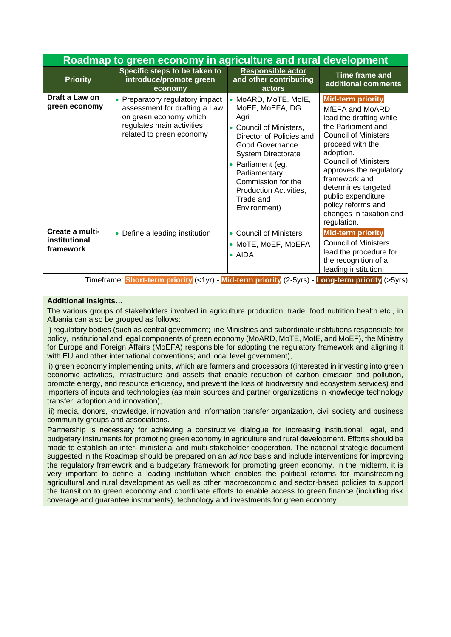|                                               | Roadmap to green economy in agriculture and rural development                                                                                       |                                                                                                                                                                                                                                                                     |                                                                                                                                                                                                                                                                                                                                                       |  |  |
|-----------------------------------------------|-----------------------------------------------------------------------------------------------------------------------------------------------------|---------------------------------------------------------------------------------------------------------------------------------------------------------------------------------------------------------------------------------------------------------------------|-------------------------------------------------------------------------------------------------------------------------------------------------------------------------------------------------------------------------------------------------------------------------------------------------------------------------------------------------------|--|--|
| <b>Priority</b>                               | Specific steps to be taken to<br>introduce/promote green<br>economy                                                                                 | <b>Responsible actor</b><br>and other contributing<br>actors                                                                                                                                                                                                        | Time frame and<br>additional comments                                                                                                                                                                                                                                                                                                                 |  |  |
| Draft a Law on<br>green economy               | • Preparatory regulatory impact<br>assessment for drafting a Law<br>on green economy which<br>regulates main activities<br>related to green economy | MoARD, MoTE, MoIE,<br>MoEF, MoEFA, DG<br>Agri<br>Council of Ministers,<br>Director of Policies and<br>Good Governance<br><b>System Directorate</b><br>Parliament (eg.<br>Parliamentary<br>Commission for the<br>Production Activities,<br>Trade and<br>Environment) | <b>Mid-term priority</b><br>MfEFA and MoARD<br>lead the drafting while<br>the Parliament and<br><b>Council of Ministers</b><br>proceed with the<br>adoption.<br><b>Council of Ministers</b><br>approves the regulatory<br>framework and<br>determines targeted<br>public expenditure,<br>policy reforms and<br>changes in taxation and<br>regulation. |  |  |
| Create a multi-<br>institutional<br>framework | • Define a leading institution<br>.                                                                                                                 | • Council of Ministers<br>• MoTE, MoEF, MoEFA<br>$\bullet$ AIDA                                                                                                                                                                                                     | <b>Mid-term priority</b><br><b>Council of Ministers</b><br>lead the procedure for<br>the recognition of a<br>leading institution.                                                                                                                                                                                                                     |  |  |

#### **Additional insights…**

The various groups of stakeholders involved in agriculture production, trade, food nutrition health etc., in Albania can also be grouped as follows:

i) regulatory bodies (such as central government; line Ministries and subordinate institutions responsible for policy, institutional and legal components of green economy (MoARD, MoTE, MoIE, and MoEF), the Ministry for Europe and Foreign Affairs (MoEFA) responsible for adopting the regulatory framework and aligning it with EU and other international conventions; and local level government),

ii) green economy implementing units, which are farmers and processors ((interested in investing into green economic activities, infrastructure and assets that enable reduction of carbon emission and pollution, promote energy, and resource efficiency, and prevent the loss of biodiversity and ecosystem services) and importers of inputs and technologies (as main sources and partner organizations in knowledge technology transfer, adoption and innovation),

iii) media, donors, knowledge, innovation and information transfer organization, civil society and business community groups and associations.

Partnership is necessary for achieving a constructive dialogue for increasing institutional, legal, and budgetary instruments for promoting green economy in agriculture and rural development. Efforts should be made to establish an inter‐ ministerial and multi‐stakeholder cooperation. The national strategic document suggested in the Roadmap should be prepared on an *ad hoc* basis and include interventions for improving the regulatory framework and a budgetary framework for promoting green economy. In the midterm, it is very important to define a leading institution which enables the political reforms for mainstreaming agricultural and rural development as well as other macroeconomic and sector-based policies to support the transition to green economy and coordinate efforts to enable access to green finance (including risk coverage and guarantee instruments), technology and investments for green economy.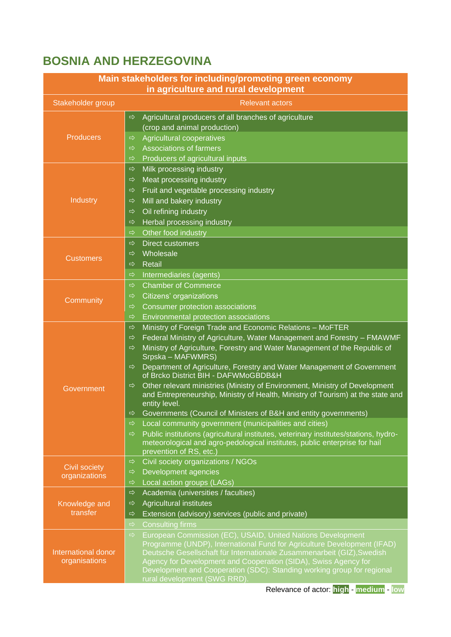# **BOSNIA AND HERZEGOVINA**

| Main stakeholders for including/promoting green economy<br>in agriculture and rural development |                                                                                                                                                                                                                                                                                                                                                                                                                                                                                                                                                                                                                                                                                                                       |  |  |
|-------------------------------------------------------------------------------------------------|-----------------------------------------------------------------------------------------------------------------------------------------------------------------------------------------------------------------------------------------------------------------------------------------------------------------------------------------------------------------------------------------------------------------------------------------------------------------------------------------------------------------------------------------------------------------------------------------------------------------------------------------------------------------------------------------------------------------------|--|--|
| Stakeholder group                                                                               | <b>Relevant actors</b>                                                                                                                                                                                                                                                                                                                                                                                                                                                                                                                                                                                                                                                                                                |  |  |
| <b>Producers</b>                                                                                | Agricultural producers of all branches of agriculture<br>$\Rightarrow$<br>(crop and animal production)<br>Agricultural cooperatives<br>⇨<br><b>Associations of farmers</b><br>$\Rightarrow$<br>Producers of agricultural inputs<br>$\Rightarrow$                                                                                                                                                                                                                                                                                                                                                                                                                                                                      |  |  |
| Industry                                                                                        | Milk processing industry<br>$\Rightarrow$<br>Meat processing industry<br>⇨<br>Fruit and vegetable processing industry<br>$\Rightarrow$<br>Mill and bakery industry<br>⇨<br>Oil refining industry<br>⇨<br>Herbal processing industry<br>⇨<br>Other food industry<br>$\Rightarrow$                                                                                                                                                                                                                                                                                                                                                                                                                                      |  |  |
| <b>Customers</b>                                                                                | <b>Direct customers</b><br>⇨<br>Wholesale<br>$\Rightarrow$<br>Retail<br>⇨<br>Intermediaries (agents)<br>$\Rightarrow$                                                                                                                                                                                                                                                                                                                                                                                                                                                                                                                                                                                                 |  |  |
| Community                                                                                       | <b>Chamber of Commerce</b><br>$\Rightarrow$<br>Citizens' organizations<br>$\Rightarrow$<br>Consumer protection associations<br>$\Rightarrow$<br>Environmental protection associations<br>$\Rightarrow$                                                                                                                                                                                                                                                                                                                                                                                                                                                                                                                |  |  |
| Government                                                                                      | Ministry of Foreign Trade and Economic Relations - MoFTER<br>$\Rightarrow$<br>Federal Ministry of Agriculture, Water Management and Forestry - FMAWMF<br>$\Rightarrow$<br>Ministry of Agriculture, Forestry and Water Management of the Republic of<br>$\Rightarrow$<br>Srpska – MAFWMRS)<br>Department of Agriculture, Forestry and Water Management of Government<br>$\Rightarrow$<br>of Brcko District BIH - DAFWMoGBDB&H<br>Other relevant ministries (Ministry of Environment, Ministry of Development<br>$\Rightarrow$<br>and Entrepreneurship, Ministry of Health, Ministry of Tourism) at the state and<br>entity level.<br>Governments (Council of Ministers of B&H and entity governments)<br>$\Rightarrow$ |  |  |
|                                                                                                 | Local community government (municipalities and cities)<br>$\Rightarrow$<br>Public institutions (agricultural institutes, veterinary institutes/stations, hydro-<br>$\Rightarrow$<br>meteorological and agro-pedological institutes, public enterprise for hail<br>prevention of RS, etc.)                                                                                                                                                                                                                                                                                                                                                                                                                             |  |  |
| <b>Civil society</b><br>organizations                                                           | Civil society organizations / NGOs<br>$\Rightarrow$<br>Development agencies<br>$\Rightarrow$<br>Local action groups (LAGs)<br>$\Rightarrow$                                                                                                                                                                                                                                                                                                                                                                                                                                                                                                                                                                           |  |  |
| Knowledge and<br>transfer                                                                       | $\Rightarrow$<br>Academia (universities / faculties)<br>Agricultural institutes<br>$\Rightarrow$<br>Extension (advisory) services (public and private)<br>$\Rightarrow$<br>$\Rightarrow$<br><b>Consulting firms</b>                                                                                                                                                                                                                                                                                                                                                                                                                                                                                                   |  |  |
| International donor<br>organisations                                                            | European Commission (EC), USAID, United Nations Development<br>$\Rightarrow$<br>Programme (UNDP), International Fund for Agriculture Development (IFAD)<br>Deutsche Gesellschaft für Internationale Zusammenarbeit (GIZ), Swedish<br>Agency for Development and Cooperation (SIDA), Swiss Agency for<br>Development and Cooperation (SDC): Standing working group for regional<br>rural development (SWG RRD).                                                                                                                                                                                                                                                                                                        |  |  |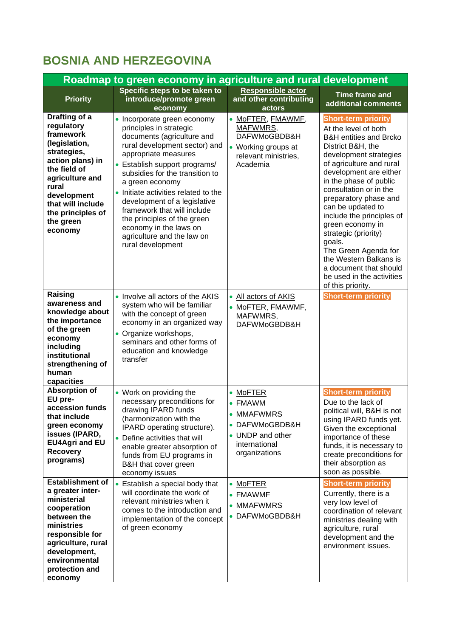# **BOSNIA AND HERZEGOVINA**

| Roadmap to green economy in agriculture and rural development                                                                                                                                                             |                                                                                                                                                                                                                                                                                                                                                                                                                                                       |                                                                                                                |                                                                                                                                                                                                                                                                                                                                                                                                                                                                                                                 |  |
|---------------------------------------------------------------------------------------------------------------------------------------------------------------------------------------------------------------------------|-------------------------------------------------------------------------------------------------------------------------------------------------------------------------------------------------------------------------------------------------------------------------------------------------------------------------------------------------------------------------------------------------------------------------------------------------------|----------------------------------------------------------------------------------------------------------------|-----------------------------------------------------------------------------------------------------------------------------------------------------------------------------------------------------------------------------------------------------------------------------------------------------------------------------------------------------------------------------------------------------------------------------------------------------------------------------------------------------------------|--|
| <b>Priority</b>                                                                                                                                                                                                           | Specific steps to be taken to<br>introduce/promote green<br>economy                                                                                                                                                                                                                                                                                                                                                                                   | Responsible actor<br>and other contributing<br>actors                                                          | <b>Time frame and</b><br>additional comments                                                                                                                                                                                                                                                                                                                                                                                                                                                                    |  |
| Drafting of a<br>regulatory<br>framework<br>(legislation,<br>strategies,<br>action plans) in<br>the field of<br>agriculture and<br>rural<br>development<br>that will include<br>the principles of<br>the green<br>economy | • Incorporate green economy<br>principles in strategic<br>documents (agriculture and<br>rural development sector) and<br>appropriate measures<br>• Establish support programs/<br>subsidies for the transition to<br>a green economy<br>Initiate activities related to the<br>development of a legislative<br>framework that will include<br>the principles of the green<br>economy in the laws on<br>agriculture and the law on<br>rural development | • MoFTER, FMAWMF,<br>MAFWMRS,<br>DAFWMoGBDB&H<br>• Working groups at<br>relevant ministries.<br>Academia       | <b>Short-term priority</b><br>At the level of both<br><b>B&amp;H</b> entities and Brcko<br>District B&H, the<br>development strategies<br>of agriculture and rural<br>development are either<br>in the phase of public<br>consultation or in the<br>preparatory phase and<br>can be updated to<br>include the principles of<br>green economy in<br>strategic (priority)<br>goals.<br>The Green Agenda for<br>the Western Balkans is<br>a document that should<br>be used in the activities<br>of this priority. |  |
| Raising<br>awareness and<br>knowledge about<br>the importance<br>of the green<br>economy<br>including<br>institutional<br>strengthening of<br>human<br>capacities                                                         | • Involve all actors of the AKIS<br>system who will be familiar<br>with the concept of green<br>economy in an organized way<br>• Organize workshops,<br>seminars and other forms of<br>education and knowledge<br>transfer                                                                                                                                                                                                                            | • All actors of AKIS<br>• MoFTER, FMAWMF,<br>MAFWMRS,<br>DAFWMoGBDB&H                                          | <b>Short-term priority</b>                                                                                                                                                                                                                                                                                                                                                                                                                                                                                      |  |
| <b>Absorption of</b><br>EU pre-<br>accession funds<br>that include<br>green economy<br>issues (IPARD,<br><b>EU4Agri and EU</b><br><b>Recovery</b><br>programs)                                                            | • Work on providing the<br>necessary preconditions for<br>drawing IPARD funds<br>(harmonization with the<br>IPARD operating structure).<br>• Define activities that will<br>enable greater absorption of<br>funds from EU programs in<br>B&H that cover green<br>economy issues                                                                                                                                                                       | • MoFTER<br>• FMAWM<br><b>MMAFWMRS</b><br>• DAFWMoGBDB&H<br>• UNDP and other<br>international<br>organizations | <b>Short-term priority</b><br>Due to the lack of<br>political will, B&H is not<br>using IPARD funds yet.<br>Given the exceptional<br>importance of these<br>funds, it is necessary to<br>create preconditions for<br>their absorption as<br>soon as possible.                                                                                                                                                                                                                                                   |  |
| <b>Establishment of</b><br>a greater inter-<br>ministerial<br>cooperation<br>between the<br>ministries<br>responsible for<br>agriculture, rural<br>development,<br>environmental<br>protection and<br>economy             | • Establish a special body that<br>will coordinate the work of<br>relevant ministries when it<br>comes to the introduction and<br>implementation of the concept<br>of green economy                                                                                                                                                                                                                                                                   | $\bullet$ MoFTER<br>• FMAWMF<br>• MMAFWMRS<br>• DAFWMoGBDB&H                                                   | <b>Short-term priority</b><br>Currently, there is a<br>very low level of<br>coordination of relevant<br>ministries dealing with<br>agriculture, rural<br>development and the<br>environment issues.                                                                                                                                                                                                                                                                                                             |  |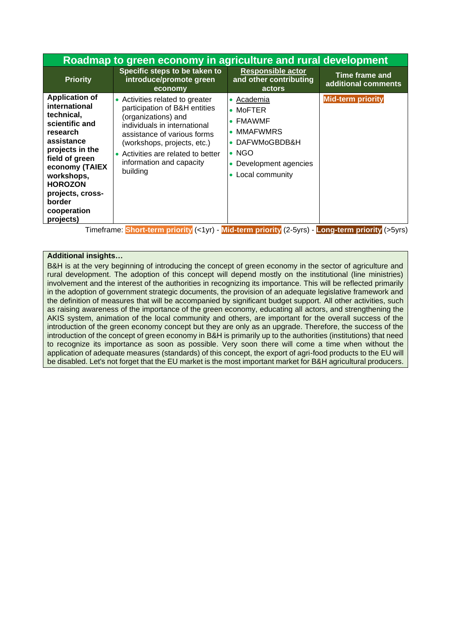|                                                                                                                                                                                                                                                   | Roadmap to green economy in agriculture and rural development                                                                                                                                                                                                       |                                                                                                                                                                               |                                              |  |
|---------------------------------------------------------------------------------------------------------------------------------------------------------------------------------------------------------------------------------------------------|---------------------------------------------------------------------------------------------------------------------------------------------------------------------------------------------------------------------------------------------------------------------|-------------------------------------------------------------------------------------------------------------------------------------------------------------------------------|----------------------------------------------|--|
| <b>Priority</b>                                                                                                                                                                                                                                   | Specific steps to be taken to<br>introduce/promote green<br>economy                                                                                                                                                                                                 | <b>Responsible actor</b><br>and other contributing<br>actors                                                                                                                  | <b>Time frame and</b><br>additional comments |  |
| <b>Application of</b><br>international<br>technical,<br>scientific and<br>research<br>assistance<br>projects in the<br>field of green<br>economy (TAIEX<br>workshops,<br><b>HOROZON</b><br>projects, cross-<br>border<br>cooperation<br>projects) | • Activities related to greater<br>participation of B&H entities<br>(organizations) and<br>individuals in international<br>assistance of various forms<br>(workshops, projects, etc.)<br>• Activities are related to better<br>information and capacity<br>building | Academia<br>$\bullet$<br>$\bullet$ MoFTER<br><b>FMAWMF</b><br><b>MMAFWMRS</b><br>٠<br>• DAFWMoGBDB&H<br>$\bullet$ NGO<br>Development agencies<br>$\bullet$<br>Local community | Mid-term priority                            |  |
|                                                                                                                                                                                                                                                   | Timeframe: Short-term priority (<1yr) - Mid-term priority (2-5yrs) - Long-term priority (>5yrs)                                                                                                                                                                     |                                                                                                                                                                               |                                              |  |

#### **Additional insights…**

B&H is at the very beginning of introducing the concept of green economy in the sector of agriculture and rural development. The adoption of this concept will depend mostly on the institutional (line ministries) involvement and the interest of the authorities in recognizing its importance. This will be reflected primarily in the adoption of government strategic documents, the provision of an adequate legislative framework and the definition of measures that will be accompanied by significant budget support. All other activities, such as raising awareness of the importance of the green economy, educating all actors, and strengthening the AKIS system, animation of the local community and others, are important for the overall success of the introduction of the green economy concept but they are only as an upgrade. Therefore, the success of the introduction of the concept of green economy in B&H is primarily up to the authorities (institutions) that need to recognize its importance as soon as possible. Very soon there will come a time when without the application of adequate measures (standards) of this concept, the export of agri-food products to the EU will be disabled. Let's not forget that the EU market is the most important market for B&H agricultural producers.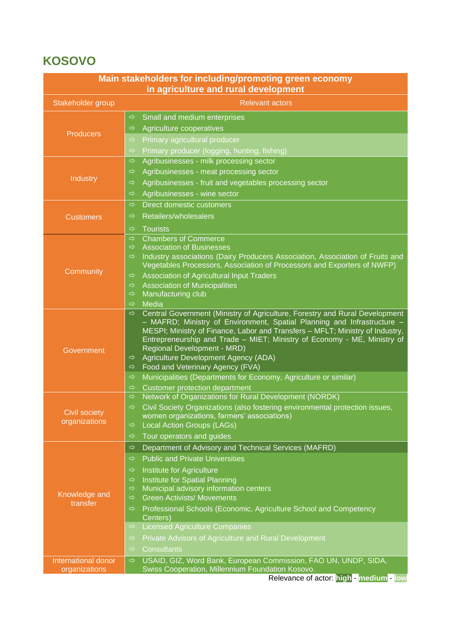# **KOSOVO**

| Main stakeholders for including/promoting green economy<br>in agriculture and rural development |                                                                                                                                                           |  |  |  |  |
|-------------------------------------------------------------------------------------------------|-----------------------------------------------------------------------------------------------------------------------------------------------------------|--|--|--|--|
| <b>Relevant actors</b><br>Stakeholder group                                                     |                                                                                                                                                           |  |  |  |  |
|                                                                                                 |                                                                                                                                                           |  |  |  |  |
|                                                                                                 | Small and medium enterprises<br>$\Rightarrow$                                                                                                             |  |  |  |  |
| <b>Producers</b>                                                                                | Agriculture cooperatives<br>$\Rightarrow$                                                                                                                 |  |  |  |  |
|                                                                                                 | Primary agricultural producer<br>$\Rightarrow$                                                                                                            |  |  |  |  |
|                                                                                                 | Primary producer (logging, hunting, fishing)<br>$\Rightarrow$<br>$\Rightarrow$                                                                            |  |  |  |  |
|                                                                                                 | Agribusinesses - milk processing sector<br>Agribusinesses - meat processing sector<br>$\Rightarrow$                                                       |  |  |  |  |
| Industry                                                                                        | Agribusinesses - fruit and vegetables processing sector<br>$\Rightarrow$                                                                                  |  |  |  |  |
|                                                                                                 | Agribusinesses - wine sector<br>⇨                                                                                                                         |  |  |  |  |
|                                                                                                 | Direct domestic customers<br>$\Rightarrow$                                                                                                                |  |  |  |  |
|                                                                                                 | Retailers/wholesalers<br>$\Rightarrow$                                                                                                                    |  |  |  |  |
| <b>Customers</b>                                                                                |                                                                                                                                                           |  |  |  |  |
|                                                                                                 | <b>Tourists</b><br>$\Rightarrow$<br><b>Chambers of Commerce</b><br>$\Rightarrow$                                                                          |  |  |  |  |
|                                                                                                 | <b>Association of Businesses</b><br>⇨                                                                                                                     |  |  |  |  |
|                                                                                                 | Industry associations (Dairy Producers Association, Association of Fruits and<br>$\Rightarrow$                                                            |  |  |  |  |
| Community                                                                                       | Vegetables Processors, Association of Processors and Exporters of NWFP)                                                                                   |  |  |  |  |
|                                                                                                 | Association of Agricultural Input Traders<br>$\Rightarrow$                                                                                                |  |  |  |  |
|                                                                                                 | <b>Association of Municipalities</b><br>⇨<br>Manufacturing club<br>$\Rightarrow$                                                                          |  |  |  |  |
|                                                                                                 | Media<br>$\Rightarrow$                                                                                                                                    |  |  |  |  |
|                                                                                                 | Central Government (Ministry of Agriculture, Forestry and Rural Development<br>$\Rightarrow$                                                              |  |  |  |  |
|                                                                                                 | - MAFRD; Ministry of Environment, Spatial Planning and Infrastructure -                                                                                   |  |  |  |  |
|                                                                                                 | MESPI; Ministry of Finance, Labor and Transfers - MFLT; Ministry of Industry,<br>Entrepreneurship and Trade - MIET; Ministry of Economy - ME, Ministry of |  |  |  |  |
| Government                                                                                      | Regional Development - MRD)                                                                                                                               |  |  |  |  |
|                                                                                                 | Agriculture Development Agency (ADA)<br>⇨                                                                                                                 |  |  |  |  |
|                                                                                                 | Food and Veterinary Agency (FVA)<br>$\Rightarrow$                                                                                                         |  |  |  |  |
|                                                                                                 | Municipalities (Departments for Economy, Agriculture or similar)<br>$\Rightarrow$                                                                         |  |  |  |  |
|                                                                                                 | <b>Customer protection department</b><br>⇨<br>Network of Organizations for Rural Development (NORDK)<br>$\Rightarrow$                                     |  |  |  |  |
|                                                                                                 | Civil Society Organizations (also fostering environmental protection issues,<br>$\Rightarrow$                                                             |  |  |  |  |
| <b>Civil society</b>                                                                            | women organizations, farmers' associations)                                                                                                               |  |  |  |  |
| organizations                                                                                   | <b>Local Action Groups (LAGs)</b><br>$\Rightarrow$                                                                                                        |  |  |  |  |
|                                                                                                 | Tour operators and guides<br>⇨                                                                                                                            |  |  |  |  |
|                                                                                                 | Department of Advisory and Technical Services (MAFRD)<br>⇨                                                                                                |  |  |  |  |
|                                                                                                 | <b>Public and Private Universities</b><br>$\Rightarrow$                                                                                                   |  |  |  |  |
|                                                                                                 | Institute for Agriculture<br>$\Rightarrow$                                                                                                                |  |  |  |  |
|                                                                                                 | Institute for Spatial Planning<br>$\Rightarrow$<br>Municipal advisory information centers<br>$\Rightarrow$                                                |  |  |  |  |
| Knowledge and                                                                                   | <b>Green Activists/ Movements</b><br>$\Rightarrow$                                                                                                        |  |  |  |  |
| transfer                                                                                        | Professional Schools (Economic, Agriculture School and Competency<br>$\Rightarrow$                                                                        |  |  |  |  |
|                                                                                                 | Centers)                                                                                                                                                  |  |  |  |  |
|                                                                                                 | <b>Licensed Agriculture Companies</b><br>$\Rightarrow$                                                                                                    |  |  |  |  |
|                                                                                                 | Private Advisors of Agriculture and Rural Development<br>$\Rightarrow$                                                                                    |  |  |  |  |
|                                                                                                 | <b>Consultants</b><br>$\Rightarrow$                                                                                                                       |  |  |  |  |
| International donor                                                                             | USAID, GIZ, Word Bank, European Commission, FAO UN, UNDP, SIDA,<br>$\Rightarrow$                                                                          |  |  |  |  |
| organizations                                                                                   | Swiss Cooperation, Millennium Foundation Kosovo.<br>Relevance of actor: high - medium - low                                                               |  |  |  |  |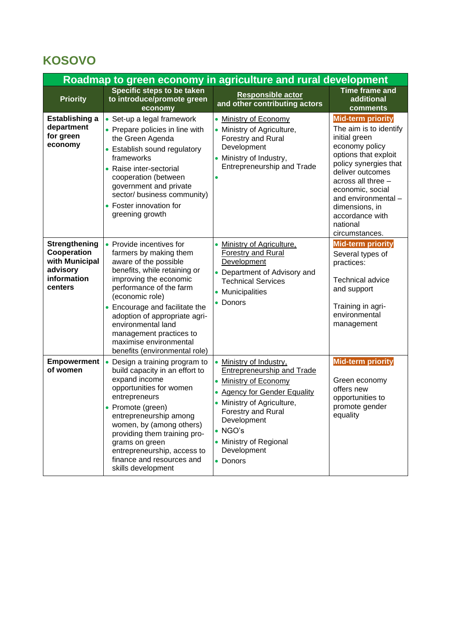# **KOSOVO**

| Roadmap to green economy in agriculture and rural development                        |                                                                                                                                                                                                                                                                                                                                                                    |                                                                                                                                                                                                                                                                                              |                                                                                                                                                                                                                                                                                                |  |
|--------------------------------------------------------------------------------------|--------------------------------------------------------------------------------------------------------------------------------------------------------------------------------------------------------------------------------------------------------------------------------------------------------------------------------------------------------------------|----------------------------------------------------------------------------------------------------------------------------------------------------------------------------------------------------------------------------------------------------------------------------------------------|------------------------------------------------------------------------------------------------------------------------------------------------------------------------------------------------------------------------------------------------------------------------------------------------|--|
| <b>Priority</b>                                                                      | Specific steps to be taken<br>to introduce/promote green<br>economy                                                                                                                                                                                                                                                                                                | <b>Responsible actor</b><br>and other contributing actors                                                                                                                                                                                                                                    | <b>Time frame and</b><br>additional<br>comments                                                                                                                                                                                                                                                |  |
| <b>Establishing a</b><br>department<br>for green<br>economy                          | • Set-up a legal framework<br>• Prepare policies in line with<br>the Green Agenda<br>• Establish sound regulatory<br>frameworks<br>• Raise inter-sectorial<br>cooperation (between<br>government and private<br>sector/ business community)<br>• Foster innovation for<br>greening growth                                                                          | • Ministry of Economy<br>• Ministry of Agriculture,<br>Forestry and Rural<br>Development<br>• Ministry of Industry,<br>Entrepreneurship and Trade                                                                                                                                            | <b>Mid-term priority</b><br>The aim is to identify<br>initial green<br>economy policy<br>options that exploit<br>policy synergies that<br>deliver outcomes<br>across all three -<br>economic, social<br>and environmental -<br>dimensions, in<br>accordance with<br>national<br>circumstances. |  |
| Strengthening<br>Cooperation<br>with Municipal<br>advisory<br>information<br>centers | • Provide incentives for<br>farmers by making them<br>aware of the possible<br>benefits, while retaining or<br>improving the economic<br>performance of the farm<br>(economic role)<br>• Encourage and facilitate the<br>adoption of appropriate agri-<br>environmental land<br>management practices to<br>maximise environmental<br>benefits (environmental role) | Ministry of Agriculture.<br>$\bullet$<br><b>Forestry and Rural</b><br>Development<br>• Department of Advisory and<br><b>Technical Services</b><br>• Municipalities<br>• Donors                                                                                                               | <b>Mid-term priority</b><br>Several types of<br>practices:<br><b>Technical advice</b><br>and support<br>Training in agri-<br>environmental<br>management                                                                                                                                       |  |
| <b>Empowerment</b><br>of women                                                       | Design a training program to<br>$\bullet$<br>build capacity in an effort to<br>expand income<br>opportunities for women<br>entrepreneurs<br>• Promote (green)<br>entrepreneurship among<br>women, by (among others)<br>providing them training pro-<br>grams on green<br>entrepreneurship, access to<br>finance and resources and<br>skills development            | Ministry of Industry,<br><b>Entrepreneurship and Trade</b><br><b>Ministry of Economy</b><br>$\bullet$<br><b>Agency for Gender Equality</b><br>• Ministry of Agriculture,<br><b>Forestry and Rural</b><br>Development<br>$\bullet$ NGO's<br>• Ministry of Regional<br>Development<br>• Donors | <b>Mid-term priority</b><br>Green economy<br>offers new<br>opportunities to<br>promote gender<br>equality                                                                                                                                                                                      |  |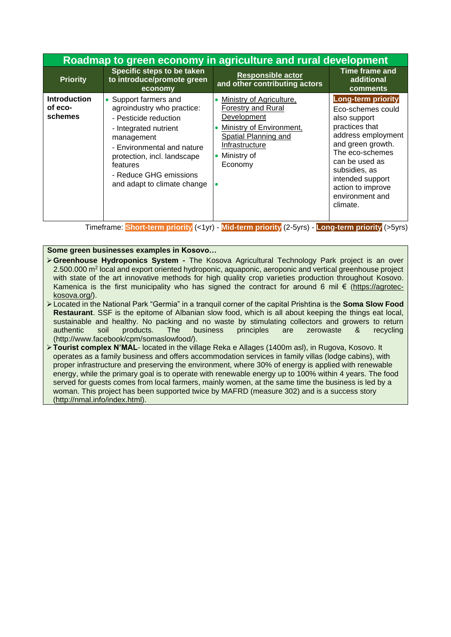|                                           | Roadmap to green economy in agriculture and rural development                                                                                                                                                                                         |                                                                                                                                                                      |                                                                                                                                                                                                                                                           |  |
|-------------------------------------------|-------------------------------------------------------------------------------------------------------------------------------------------------------------------------------------------------------------------------------------------------------|----------------------------------------------------------------------------------------------------------------------------------------------------------------------|-----------------------------------------------------------------------------------------------------------------------------------------------------------------------------------------------------------------------------------------------------------|--|
| <b>Priority</b>                           | Specific steps to be taken<br>to introduce/promote green<br>economy                                                                                                                                                                                   | <b>Responsible actor</b><br>and other contributing actors                                                                                                            | Time frame and<br>additional<br>comments                                                                                                                                                                                                                  |  |
| <b>Introduction</b><br>of eco-<br>schemes | • Support farmers and<br>agroindustry who practice:<br>- Pesticide reduction<br>- Integrated nutrient<br>management<br>- Environmental and nature<br>protection, incl. landscape<br>features<br>- Reduce GHG emissions<br>and adapt to climate change | Ministry of Agriculture,<br><b>Forestry and Rural</b><br>Development<br>Ministry of Environment,<br>Spatial Planning and<br>Infrastructure<br>Ministry of<br>Economy | <b>Long-term priority</b><br>Eco-schemes could<br>also support<br>practices that<br>address employment<br>and green growth.<br>The eco-schemes<br>can be used as<br>subsidies, as<br>intended support<br>action to improve<br>environment and<br>climate. |  |

#### **Some green businesses examples in Kosovo…**

- ➢**Greenhouse Hydroponics System -** The Kosova Agricultural Technology Park project is an over 2.500.000 m<sup>2</sup> local and export oriented hydroponic, aquaponic, aeroponic and vertical greenhouse project with state of the art innovative methods for high quality crop varieties production throughout Kosovo. Kamenica is the first municipality who has signed the contract for around 6 mil  $\epsilon$  (https://agroteckosova.org/).
- ➢Located in the National Park "Germia" in a tranquil corner of the capital Prishtina is the **Soma Slow Food Restaurant**. SSF is the epitome of Albanian slow food, which is all about keeping the things eat local, sustainable and healthy. No packing and no waste by stimulating collectors and growers to return authentic soil products. The business principles are zerowaste & recycling (http://www.facebook/cpm/somaslowfood/).
- ➢**Tourist complex N'MAL** located in the village Reka e Allages (1400m asl), in Rugova, Kosovo. It operates as a family business and offers accommodation services in family villas (lodge cabins), with proper infrastructure and preserving the environment, where 30% of energy is applied with renewable energy, while the primary goal is to operate with renewable energy up to 100% within 4 years. The food served for guests comes from local farmers, mainly women, at the same time the business is led by a woman. This project has been supported twice by MAFRD (measure 302) and is a success story [\(http://nmal.info/index.html\)](http://nmal.info/index.html).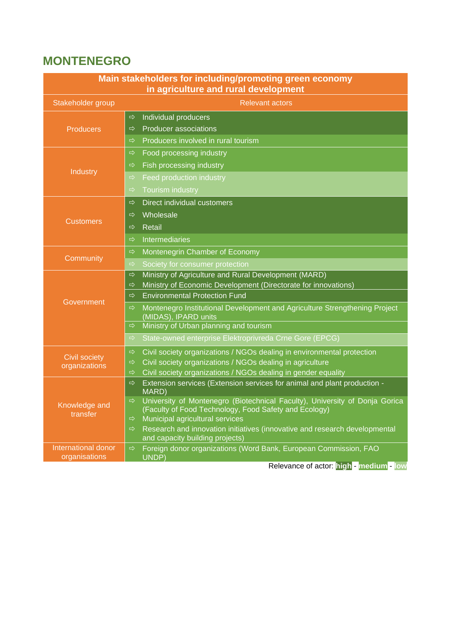## **MONTENEGRO**

| Main stakeholders for including/promoting green economy<br>in agriculture and rural development |               |                                                                                                     |  |
|-------------------------------------------------------------------------------------------------|---------------|-----------------------------------------------------------------------------------------------------|--|
| Stakeholder group                                                                               |               | <b>Relevant actors</b>                                                                              |  |
|                                                                                                 | ⇨             | Individual producers                                                                                |  |
| <b>Producers</b>                                                                                | $\Rightarrow$ | <b>Producer associations</b>                                                                        |  |
|                                                                                                 | $\Rightarrow$ | Producers involved in rural tourism                                                                 |  |
|                                                                                                 | $\Rightarrow$ | Food processing industry                                                                            |  |
|                                                                                                 | $\Rightarrow$ | Fish processing industry                                                                            |  |
| Industry                                                                                        | $\Rightarrow$ | Feed production industry                                                                            |  |
|                                                                                                 | $\Rightarrow$ | <b>Tourism industry</b>                                                                             |  |
|                                                                                                 | $\Rightarrow$ | Direct individual customers                                                                         |  |
|                                                                                                 | $\Rightarrow$ | Wholesale                                                                                           |  |
| <b>Customers</b>                                                                                | $\Rightarrow$ | Retail                                                                                              |  |
|                                                                                                 | ⇨             | Intermediaries                                                                                      |  |
|                                                                                                 | $\Rightarrow$ | Montenegrin Chamber of Economy                                                                      |  |
| Community                                                                                       | ⇨             | Society for consumer protection                                                                     |  |
|                                                                                                 | $\Rightarrow$ | Ministry of Agriculture and Rural Development (MARD)                                                |  |
|                                                                                                 | $\Rightarrow$ | Ministry of Economic Development (Directorate for innovations)                                      |  |
| <b>Government</b>                                                                               | ⇨             | <b>Environmental Protection Fund</b>                                                                |  |
|                                                                                                 | $\Rightarrow$ | Montenegro Institutional Development and Agriculture Strengthening Project<br>(MIDAS), IPARD units  |  |
|                                                                                                 | $\Rightarrow$ | Ministry of Urban planning and tourism                                                              |  |
|                                                                                                 | $\Rightarrow$ | State-owned enterprise Elektroprivreda Crne Gore (EPCG)                                             |  |
| <b>Civil society</b>                                                                            | $\Rightarrow$ | Civil society organizations / NGOs dealing in environmental protection                              |  |
| organizations                                                                                   | $\Rightarrow$ | Civil society organizations / NGOs dealing in agriculture                                           |  |
|                                                                                                 | $\Rightarrow$ | Civil society organizations / NGOs dealing in gender equality                                       |  |
|                                                                                                 | $\Rightarrow$ | Extension services (Extension services for animal and plant production -<br><b>MARD</b> )           |  |
| Knowledge and                                                                                   | $\Rightarrow$ | University of Montenegro (Biotechnical Faculty), University of Donja Gorica                         |  |
| transfer                                                                                        | ⇨             | (Faculty of Food Technology, Food Safety and Ecology)<br>Municipal agricultural services            |  |
|                                                                                                 | $\Rightarrow$ | Research and innovation initiatives (innovative and research developmental                          |  |
| International donor                                                                             | $\Rightarrow$ | and capacity building projects)<br>Foreign donor organizations (Word Bank, European Commission, FAO |  |
| organisations                                                                                   |               | UNDP)                                                                                               |  |
|                                                                                                 |               | Relevance of actor: high - medium - low                                                             |  |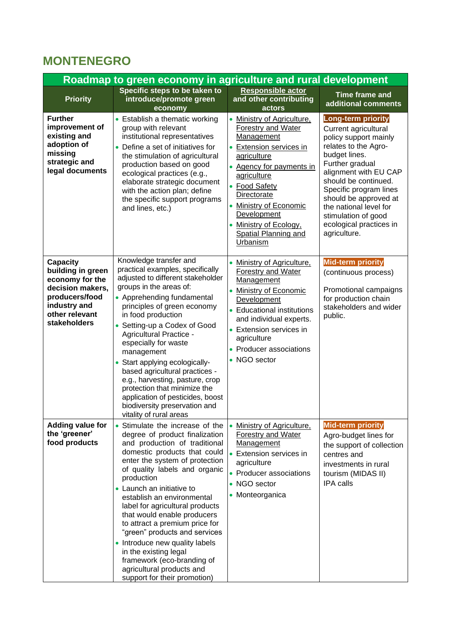## **MONTENEGRO**

|                                                                                                                                                 | Roadmap to green economy in agriculture and rural development                                                                                                                                                                                                                                                                                                                                                                                                                                                                                                               |                                                                                                                                                                                                                                                                                                                |                                                                                                                                                                                                                                                                                                                                        |
|-------------------------------------------------------------------------------------------------------------------------------------------------|-----------------------------------------------------------------------------------------------------------------------------------------------------------------------------------------------------------------------------------------------------------------------------------------------------------------------------------------------------------------------------------------------------------------------------------------------------------------------------------------------------------------------------------------------------------------------------|----------------------------------------------------------------------------------------------------------------------------------------------------------------------------------------------------------------------------------------------------------------------------------------------------------------|----------------------------------------------------------------------------------------------------------------------------------------------------------------------------------------------------------------------------------------------------------------------------------------------------------------------------------------|
| <b>Priority</b>                                                                                                                                 | Specific steps to be taken to<br>introduce/promote green<br>economy                                                                                                                                                                                                                                                                                                                                                                                                                                                                                                         | Responsible actor<br>and other contributing<br>actors                                                                                                                                                                                                                                                          | <b>Time frame and</b><br>additional comments                                                                                                                                                                                                                                                                                           |
| <b>Further</b><br>improvement of<br>existing and<br>adoption of<br>missing<br>strategic and<br>legal documents                                  | • Establish a thematic working<br>group with relevant<br>institutional representatives<br>• Define a set of initiatives for<br>the stimulation of agricultural<br>production based on good<br>ecological practices (e.g.,<br>elaborate strategic document<br>with the action plan; define<br>the specific support programs<br>and lines, etc.)                                                                                                                                                                                                                              | Ministry of Agriculture,<br><b>Forestry and Water</b><br><b>Management</b><br>Extension services in<br>agriculture<br>• Agency for payments in<br>agriculture<br>• Food Safety<br>Directorate<br><b>Ministry of Economic</b><br>Development<br>Ministry of Ecology,<br>Spatial Planning and<br><b>Urbanism</b> | <b>Long-term priority</b><br>Current agricultural<br>policy support mainly<br>relates to the Agro-<br>budget lines.<br>Further gradual<br>alignment with EU CAP<br>should be continued.<br>Specific program lines<br>should be approved at<br>the national level for<br>stimulation of good<br>ecological practices in<br>agriculture. |
| <b>Capacity</b><br>building in green<br>economy for the<br>decision makers,<br>producers/food<br>industry and<br>other relevant<br>stakeholders | Knowledge transfer and<br>practical examples, specifically<br>adjusted to different stakeholder<br>groups in the areas of:<br>• Apprehending fundamental<br>principles of green economy<br>in food production<br>Setting-up a Codex of Good<br>$\bullet$<br>Agricultural Practice -<br>especially for waste<br>management<br>Start applying ecologically-<br>$\bullet$<br>based agricultural practices -<br>e.g., harvesting, pasture, crop<br>protection that minimize the<br>application of pesticides, boost<br>biodiversity preservation and<br>vitality of rural areas | Ministry of Agriculture,<br>$\bullet$<br><b>Forestry and Water</b><br>Management<br><b>Ministry of Economic</b><br>Development<br>• Educational institutions<br>and individual experts.<br>• Extension services in<br>agriculture<br>• Producer associations<br>• NGO sector                                   | <b>Mid-term priority</b><br>(continuous process)<br>Promotional campaigns<br>for production chain<br>stakeholders and wider<br>public.                                                                                                                                                                                                 |
| <b>Adding value for</b><br>the 'greener'<br>food products                                                                                       | Stimulate the increase of the<br>degree of product finalization<br>and production of traditional<br>domestic products that could<br>enter the system of protection<br>of quality labels and organic<br>production<br>• Launch an initiative to<br>establish an environmental<br>label for agricultural products<br>that would enable producers<br>to attract a premium price for<br>"green" products and services<br>• Introduce new quality labels<br>in the existing legal<br>framework (eco-branding of<br>agricultural products and<br>support for their promotion)     | Ministry of Agriculture,<br><b>Forestry and Water</b><br><b>Management</b><br>Extension services in<br>agriculture<br>• Producer associations<br>• NGO sector<br>• Monteorganica                                                                                                                               | <b>Mid-term priority</b><br>Agro-budget lines for<br>the support of collection<br>centres and<br>investments in rural<br>tourism (MIDAS II)<br><b>IPA</b> calls                                                                                                                                                                        |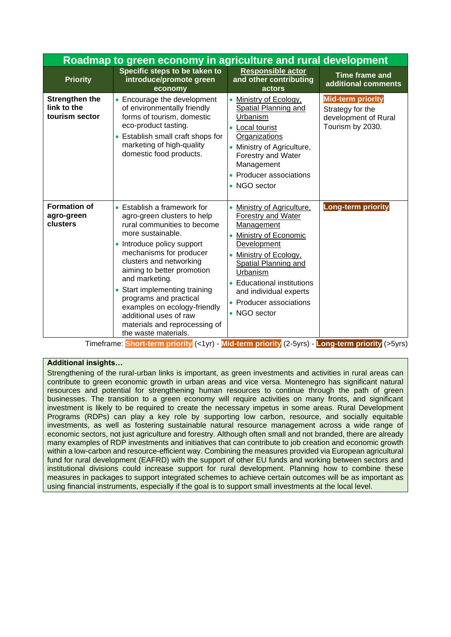|                                                        | Roadmap to green economy in agriculture and rural development                                                                                                                                                                                                                                                                                                                                                                               |                                                                                                                                                                                                                                                                                             |                                                                                          |  |  |
|--------------------------------------------------------|---------------------------------------------------------------------------------------------------------------------------------------------------------------------------------------------------------------------------------------------------------------------------------------------------------------------------------------------------------------------------------------------------------------------------------------------|---------------------------------------------------------------------------------------------------------------------------------------------------------------------------------------------------------------------------------------------------------------------------------------------|------------------------------------------------------------------------------------------|--|--|
| <b>Priority</b>                                        | Specific steps to be taken to<br>introduce/promote green<br>economy                                                                                                                                                                                                                                                                                                                                                                         | <b>Responsible actor</b><br>and other contributing<br>actors                                                                                                                                                                                                                                | <b>Time frame and</b><br>additional comments                                             |  |  |
| <b>Strengthen the</b><br>link to the<br>tourism sector | • Encourage the development<br>of environmentally friendly<br>forms of tourism, domestic<br>eco-product tasting.<br>• Establish small craft shops for<br>marketing of high-quality<br>domestic food products.                                                                                                                                                                                                                               | Ministry of Ecology,<br><b>Spatial Planning and</b><br>Urbanism<br>Local tourist<br>$\bullet$<br>Organizations<br>Ministry of Agriculture,<br>$\bullet$<br>Forestry and Water<br>Management<br>Producer associations<br>• NGO sector                                                        | <b>Mid-term priority</b><br>Strategy for the<br>development of Rural<br>Tourism by 2030. |  |  |
| <b>Formation of</b><br>agro-green<br>clusters          | • Establish a framework for<br>agro-green clusters to help<br>rural communities to become<br>more sustainable.<br>• Introduce policy support<br>mechanisms for producer<br>clusters and networking<br>aiming to better promotion<br>and marketing.<br>Start implementing training<br>$\bullet$<br>programs and practical<br>examples on ecology-friendly<br>additional uses of raw<br>materials and reprocessing of<br>the waste materials. | Ministry of Agriculture,<br>Forestry and Water<br>Management<br><b>Ministry of Economic</b><br>$\bullet$<br>Development<br>Ministry of Ecology,<br>Spatial Planning and<br>Urbanism<br><b>Educational institutions</b><br>and individual experts<br>• Producer associations<br>• NGO sector | <b>Long-term priority</b>                                                                |  |  |

#### **Additional insights…**

Strengthening of the rural-urban links is important, as green investments and activities in rural areas can contribute to green economic growth in urban areas and vice versa. Montenegro has significant natural resources and potential for strengthening human resources to continue through the path of green businesses. The transition to a green economy will require activities on many fronts, and significant investment is likely to be required to create the necessary impetus in some areas. Rural Development Programs (RDPs) can play a key role by supporting low carbon, resource, and socially equitable investments, as well as fostering sustainable natural resource management across a wide range of economic sectors, not just agriculture and forestry. Although often small and not branded, there are already many examples of RDP investments and initiatives that can contribute to job creation and economic growth within a low-carbon and resource-efficient way. Combining the measures provided via European agricultural fund for rural development (EAFRD) with the support of other EU funds and working between sectors and institutional divisions could increase support for rural development. Planning how to combine these measures in packages to support integrated schemes to achieve certain outcomes will be as important as using financial instruments, especially if the goal is to support small investments at the local level.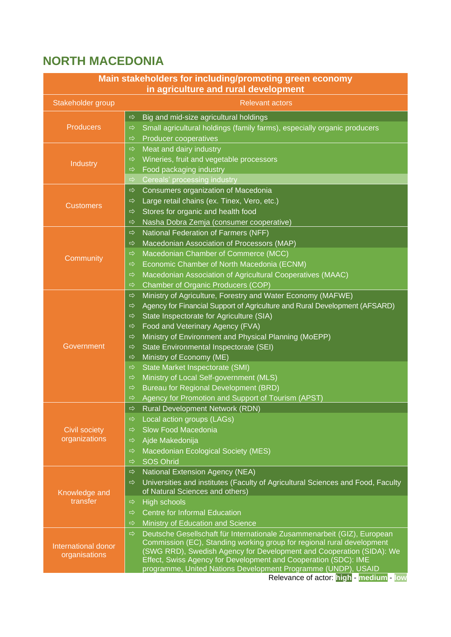## **NORTH MACEDONIA**

| Main stakeholders for including/promoting green economy<br>in agriculture and rural development |                                                                                                                                                                    |  |  |
|-------------------------------------------------------------------------------------------------|--------------------------------------------------------------------------------------------------------------------------------------------------------------------|--|--|
| Stakeholder group                                                                               | <b>Relevant actors</b>                                                                                                                                             |  |  |
|                                                                                                 | Big and mid-size agricultural holdings<br>$\Rightarrow$                                                                                                            |  |  |
| <b>Producers</b>                                                                                | Small agricultural holdings (family farms), especially organic producers<br>$\Rightarrow$                                                                          |  |  |
|                                                                                                 | <b>Producer cooperatives</b><br>$\Rightarrow$                                                                                                                      |  |  |
|                                                                                                 | Meat and dairy industry<br>$\Rightarrow$                                                                                                                           |  |  |
| Industry                                                                                        | Wineries, fruit and vegetable processors<br>$\Rightarrow$                                                                                                          |  |  |
|                                                                                                 | Food packaging industry<br>$\Rightarrow$                                                                                                                           |  |  |
|                                                                                                 | $\Rightarrow$<br>Cereals' processing industry                                                                                                                      |  |  |
|                                                                                                 | Consumers organization of Macedonia<br>$\Rightarrow$                                                                                                               |  |  |
| <b>Customers</b>                                                                                | Large retail chains (ex. Tinex, Vero, etc.)<br>$\Rightarrow$                                                                                                       |  |  |
|                                                                                                 | Stores for organic and health food<br>$\Rightarrow$                                                                                                                |  |  |
|                                                                                                 | Nasha Dobra Zemja (consumer cooperative)<br>$\Rightarrow$                                                                                                          |  |  |
|                                                                                                 | National Federation of Farmers (NFF)<br>$\Rightarrow$                                                                                                              |  |  |
|                                                                                                 | Macedonian Association of Processors (MAP)<br>$\Rightarrow$                                                                                                        |  |  |
| Community                                                                                       | Macedonian Chamber of Commerce (MCC)<br>$\Rightarrow$                                                                                                              |  |  |
|                                                                                                 | Economic Chamber of North Macedonia (ECNM)<br>$\Rightarrow$                                                                                                        |  |  |
|                                                                                                 | Macedonian Association of Agricultural Cooperatives (MAAC)<br>$\Rightarrow$                                                                                        |  |  |
|                                                                                                 | Chamber of Organic Producers (COP)<br>$\Rightarrow$                                                                                                                |  |  |
|                                                                                                 | Ministry of Agriculture, Forestry and Water Economy (MAFWE)<br>$\Rightarrow$                                                                                       |  |  |
|                                                                                                 | Agency for Financial Support of Agriculture and Rural Development (AFSARD)<br>$\Rightarrow$                                                                        |  |  |
|                                                                                                 | State Inspectorate for Agriculture (SIA)<br>$\Rightarrow$                                                                                                          |  |  |
|                                                                                                 | Food and Veterinary Agency (FVA)<br>$\Rightarrow$                                                                                                                  |  |  |
|                                                                                                 | Ministry of Environment and Physical Planning (MoEPP)<br>$\Rightarrow$                                                                                             |  |  |
| Government                                                                                      | State Environmental Inspectorate (SEI)<br>$\Rightarrow$                                                                                                            |  |  |
|                                                                                                 | Ministry of Economy (ME)<br>$\Rightarrow$                                                                                                                          |  |  |
|                                                                                                 | State Market Inspectorate (SMI)<br>$\Rightarrow$                                                                                                                   |  |  |
|                                                                                                 | Ministry of Local Self-government (MLS)<br>$\Rightarrow$                                                                                                           |  |  |
|                                                                                                 | Bureau for Regional Development (BRD)<br>$\Rightarrow$                                                                                                             |  |  |
|                                                                                                 | Agency for Promotion and Support of Tourism (APST)<br>$\Rightarrow$                                                                                                |  |  |
|                                                                                                 | <b>Rural Development Network (RDN)</b><br>$\Rightarrow$                                                                                                            |  |  |
|                                                                                                 | Local action groups (LAGs)<br>$\Rightarrow$                                                                                                                        |  |  |
| Civil society<br>organizations                                                                  | Slow Food Macedonia<br>$\Rightarrow$                                                                                                                               |  |  |
|                                                                                                 | Ajde Makedonija<br>$\Rightarrow$                                                                                                                                   |  |  |
|                                                                                                 | Macedonian Ecological Society (MES)<br>$\Rightarrow$                                                                                                               |  |  |
|                                                                                                 | <b>SOS Ohrid</b><br>$\Rightarrow$                                                                                                                                  |  |  |
|                                                                                                 | $\Rightarrow$<br>National Extension Agency (NEA)                                                                                                                   |  |  |
|                                                                                                 | Universities and institutes (Faculty of Agricultural Sciences and Food, Faculty<br>$\Rightarrow$                                                                   |  |  |
| Knowledge and<br>transfer                                                                       | of Natural Sciences and others)                                                                                                                                    |  |  |
|                                                                                                 | High schools<br>$\Rightarrow$                                                                                                                                      |  |  |
|                                                                                                 | <b>Centre for Informal Education</b><br>$\Rightarrow$                                                                                                              |  |  |
| International donor<br>organisations                                                            | Ministry of Education and Science<br>$\Rightarrow$                                                                                                                 |  |  |
|                                                                                                 | $\Rightarrow$<br>Deutsche Gesellschaft für Internationale Zusammenarbeit (GIZ), European<br>Commission (EC), Standing working group for regional rural development |  |  |
|                                                                                                 | (SWG RRD), Swedish Agency for Development and Cooperation (SIDA): We                                                                                               |  |  |
|                                                                                                 | Effect, Swiss Agency for Development and Cooperation (SDC): IME                                                                                                    |  |  |
|                                                                                                 | programme, United Nations Development Programme (UNDP), USAID                                                                                                      |  |  |
|                                                                                                 | Relevance of actor: high - medium - low                                                                                                                            |  |  |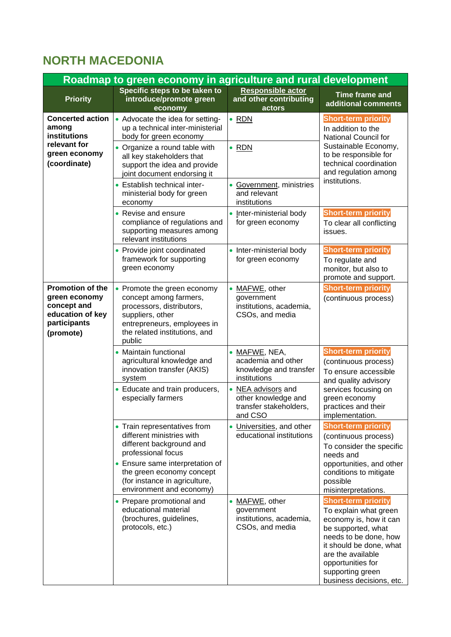## **NORTH MACEDONIA**

| Roadmap to green economy in agriculture and rural development                                     |                                                                                                                                                                                                                             |                                                                                |                                                                                                                                                                                                                                                   |
|---------------------------------------------------------------------------------------------------|-----------------------------------------------------------------------------------------------------------------------------------------------------------------------------------------------------------------------------|--------------------------------------------------------------------------------|---------------------------------------------------------------------------------------------------------------------------------------------------------------------------------------------------------------------------------------------------|
| <b>Priority</b>                                                                                   | Specific steps to be taken to<br>introduce/promote green<br>economy                                                                                                                                                         | Responsible actor<br>and other contributing<br>actors                          | <b>Time frame and</b><br>additional comments                                                                                                                                                                                                      |
| <b>Concerted action</b><br>among<br>institutions<br>relevant for<br>green economy<br>(coordinate) | • Advocate the idea for setting-<br>up a technical inter-ministerial<br>body for green economy<br>• Organize a round table with<br>all key stakeholders that<br>support the idea and provide<br>joint document endorsing it | $\bullet$ RDN<br>$\bullet$ RDN                                                 | <b>Short-term priority</b><br>In addition to the<br>National Council for<br>Sustainable Economy,<br>to be responsible for<br>technical coordination<br>and regulation among<br>institutions.                                                      |
|                                                                                                   | • Establish technical inter-<br>ministerial body for green<br>economy                                                                                                                                                       | • Government, ministries<br>and relevant<br>institutions                       |                                                                                                                                                                                                                                                   |
|                                                                                                   | • Revise and ensure<br>compliance of regulations and<br>supporting measures among<br>relevant institutions                                                                                                                  | • Inter-ministerial body<br>for green economy                                  | <b>Short-term priority</b><br>To clear all conflicting<br>issues.                                                                                                                                                                                 |
|                                                                                                   | • Provide joint coordinated<br>framework for supporting<br>green economy                                                                                                                                                    | • Inter-ministerial body<br>for green economy                                  | <b>Short-term priority</b><br>To regulate and<br>monitor, but also to<br>promote and support.                                                                                                                                                     |
| Promotion of the<br>green economy<br>concept and<br>education of key<br>participants<br>(promote) | • Promote the green economy<br>concept among farmers,<br>processors, distributors,<br>suppliers, other<br>entrepreneurs, employees in<br>the related institutions, and<br>public                                            | • MAFWE, other<br>government<br>institutions, academia,<br>CSOs, and media     | <b>Short-term priority</b><br>(continuous process)                                                                                                                                                                                                |
|                                                                                                   | • Maintain functional<br>agricultural knowledge and<br>innovation transfer (AKIS)<br>system                                                                                                                                 | • MAFWE, NEA,<br>academia and other<br>knowledge and transfer<br>institutions  | <b>Short-term priority</b><br>(continuous process)<br>To ensure accessible<br>and quality advisory                                                                                                                                                |
|                                                                                                   | • Educate and train producers,<br>especially farmers                                                                                                                                                                        | • NEA advisors and<br>other knowledge and<br>transfer stakeholders,<br>and CSO | services focusing on<br>green economy<br>practices and their<br>implementation.                                                                                                                                                                   |
|                                                                                                   | • Train representatives from<br>different ministries with<br>different background and<br>professional focus                                                                                                                 | • Universities, and other<br>educational institutions                          | <b>Short-term priority</b><br>(continuous process)<br>To consider the specific<br>needs and                                                                                                                                                       |
|                                                                                                   | • Ensure same interpretation of<br>the green economy concept<br>(for instance in agriculture,<br>environment and economy)                                                                                                   |                                                                                | opportunities, and other<br>conditions to mitigate<br>possible<br>misinterpretations.                                                                                                                                                             |
|                                                                                                   | • Prepare promotional and<br>educational material<br>(brochures, guidelines,<br>protocols, etc.)                                                                                                                            | • MAFWE, other<br>government<br>institutions, academia,<br>CSOs, and media     | <b>Short-term priority</b><br>To explain what green<br>economy is, how it can<br>be supported, what<br>needs to be done, how<br>it should be done, what<br>are the available<br>opportunities for<br>supporting green<br>business decisions, etc. |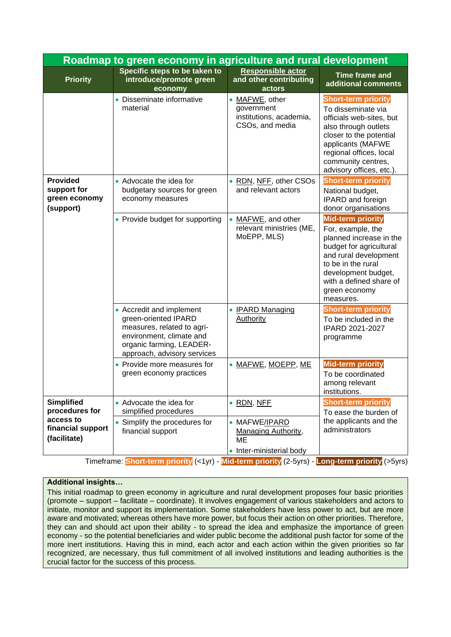| Roadmap to green economy in agriculture and rural development                         |                                                                                                                                                                       |                                                                                             |                                                                                                                                                                                                                                    |
|---------------------------------------------------------------------------------------|-----------------------------------------------------------------------------------------------------------------------------------------------------------------------|---------------------------------------------------------------------------------------------|------------------------------------------------------------------------------------------------------------------------------------------------------------------------------------------------------------------------------------|
| <b>Priority</b>                                                                       | Specific steps to be taken to<br>introduce/promote green<br>economy                                                                                                   | <b>Responsible actor</b><br>and other contributing<br>actors                                | <b>Time frame and</b><br>additional comments                                                                                                                                                                                       |
|                                                                                       | • Disseminate informative<br>material                                                                                                                                 | • MAFWE, other<br>government<br>institutions, academia,<br>CSOs, and media                  | <b>Short-term priority</b><br>To disseminate via<br>officials web-sites, but<br>also through outlets<br>closer to the potential<br>applicants (MAFWE<br>regional offices, local<br>community centres,<br>advisory offices, etc.).  |
| <b>Provided</b><br>support for<br>green economy<br>(support)                          | • Advocate the idea for<br>budgetary sources for green<br>economy measures                                                                                            | • RDN, NFF, other CSOs<br>and relevant actors                                               | <b>Short-term priority</b><br>National budget,<br>IPARD and foreign<br>donor organisations                                                                                                                                         |
|                                                                                       | • Provide budget for supporting                                                                                                                                       | MAFWE, and other<br>relevant ministries (ME,<br>MoEPP, MLS)                                 | <b>Mid-term priority</b><br>For, example, the<br>planned increase in the<br>budget for agricultural<br>and rural development<br>to be in the rural<br>development budget,<br>with a defined share of<br>green economy<br>measures. |
|                                                                                       | • Accredit and implement<br>green-oriented IPARD<br>measures, related to agri-<br>environment, climate and<br>organic farming, LEADER-<br>approach, advisory services | • <b>IPARD Managing</b><br><b>Authority</b>                                                 | <b>Short-term priority</b><br>To be included in the<br>IPARD 2021-2027<br>programme                                                                                                                                                |
|                                                                                       | • Provide more measures for<br>green economy practices                                                                                                                | • MAFWE, MOEPP, ME                                                                          | <b>Mid-term priority</b><br>To be coordinated<br>among relevant<br>institutions.                                                                                                                                                   |
| <b>Simplified</b><br>procedures for<br>access to<br>financial support<br>(facilitate) | • Advocate the idea for<br>simplified procedures<br>Simplify the procedures for<br>financial support                                                                  | • RDN, NFF<br>• MAFWE/IPARD<br><b>Managing Authority,</b><br>МE<br>• Inter-ministerial body | <b>Short-term priority</b><br>To ease the burden of<br>the applicants and the<br>administrators                                                                                                                                    |

#### **Additional insights…**

This initial roadmap to green economy in agriculture and rural development proposes four basic priorities (promote – support – facilitate – coordinate). It involves engagement of various stakeholders and actors to initiate, monitor and support its implementation. Some stakeholders have less power to act, but are more aware and motivated; whereas others have more power, but focus their action on other priorities. Therefore, they can and should act upon their ability - to spread the idea and emphasize the importance of green economy - so the potential beneficiaries and wider public become the additional push factor for some of the more inert institutions. Having this in mind, each actor and each action within the given priorities so far recognized, are necessary, thus full commitment of all involved institutions and leading authorities is the crucial factor for the success of this process.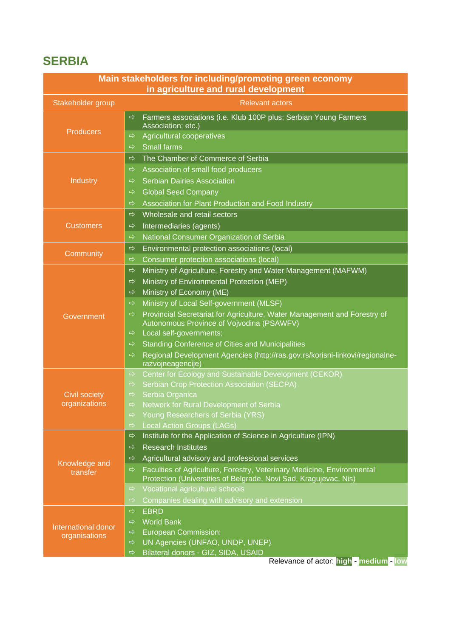### **SERBIA**

| Main stakeholders for including/promoting green economy<br>in agriculture and rural development |                                                                                                                                                             |  |  |
|-------------------------------------------------------------------------------------------------|-------------------------------------------------------------------------------------------------------------------------------------------------------------|--|--|
| Stakeholder group                                                                               | <b>Relevant actors</b>                                                                                                                                      |  |  |
|                                                                                                 | Farmers associations (i.e. Klub 100P plus; Serbian Young Farmers<br>$\Rightarrow$<br>Association; etc.)                                                     |  |  |
| <b>Producers</b>                                                                                | Agricultural cooperatives<br>$\Rightarrow$                                                                                                                  |  |  |
|                                                                                                 | <b>Small farms</b><br>⇨                                                                                                                                     |  |  |
|                                                                                                 | The Chamber of Commerce of Serbia<br>$\Rightarrow$                                                                                                          |  |  |
|                                                                                                 | Association of small food producers<br>⇨                                                                                                                    |  |  |
| Industry                                                                                        | <b>Serbian Dairies Association</b>                                                                                                                          |  |  |
|                                                                                                 | <b>Global Seed Company</b>                                                                                                                                  |  |  |
|                                                                                                 | Association for Plant Production and Food Industry<br>⇨                                                                                                     |  |  |
|                                                                                                 | Wholesale and retail sectors<br>$\Rightarrow$                                                                                                               |  |  |
| <b>Customers</b>                                                                                | Intermediaries (agents)<br>⇨                                                                                                                                |  |  |
|                                                                                                 | National Consumer Organization of Serbia<br>⇨                                                                                                               |  |  |
|                                                                                                 | Environmental protection associations (local)<br>$\Rightarrow$                                                                                              |  |  |
| Community                                                                                       | Consumer protection associations (local)<br>⇨                                                                                                               |  |  |
|                                                                                                 | Ministry of Agriculture, Forestry and Water Management (MAFWM)<br>$\Rightarrow$                                                                             |  |  |
|                                                                                                 | Ministry of Environmental Protection (MEP)<br>⇨                                                                                                             |  |  |
|                                                                                                 | Ministry of Economy (ME)<br>$\Rightarrow$                                                                                                                   |  |  |
|                                                                                                 | Ministry of Local Self-government (MLSF)<br>$\Rightarrow$                                                                                                   |  |  |
| Government                                                                                      | Provincial Secretariat for Agriculture, Water Management and Forestry of<br>$\Rightarrow$<br>Autonomous Province of Vojvodina (PSAWFV)                      |  |  |
|                                                                                                 | Local self-governments;<br>$\Rightarrow$                                                                                                                    |  |  |
|                                                                                                 | <b>Standing Conference of Cities and Municipalities</b><br>$\Rightarrow$                                                                                    |  |  |
|                                                                                                 | Regional Development Agencies (http://ras.gov.rs/korisni-linkovi/regionalne-<br>$\Rightarrow$<br>razvojneagencije)                                          |  |  |
|                                                                                                 | Center for Ecology and Sustainable Development (CEKOR)<br>$\Rightarrow$                                                                                     |  |  |
|                                                                                                 | Serbian Crop Protection Association (SECPA)<br>$\Rightarrow$                                                                                                |  |  |
| <b>Civil society</b>                                                                            | Serbia Organica<br>$\Rightarrow$                                                                                                                            |  |  |
| organizations                                                                                   | <b>Network for Rural Development of Serbia</b><br>$\Rightarrow$                                                                                             |  |  |
|                                                                                                 | Young Researchers of Serbia (YRS)<br>$\Rightarrow$                                                                                                          |  |  |
|                                                                                                 | <b>Local Action Groups (LAGs)</b><br>$\Rightarrow$                                                                                                          |  |  |
|                                                                                                 | Institute for the Application of Science in Agriculture (IPN)<br>$\Rightarrow$                                                                              |  |  |
|                                                                                                 | <b>Research Institutes</b><br>$\Rightarrow$                                                                                                                 |  |  |
| Knowledge and                                                                                   | Agricultural advisory and professional services<br>⇨                                                                                                        |  |  |
| transfer                                                                                        | Faculties of Agriculture, Forestry, Veterinary Medicine, Environmental<br>$\Rightarrow$<br>Protection (Universities of Belgrade, Novi Sad, Kragujevac, Nis) |  |  |
|                                                                                                 | Vocational agricultural schools<br>$\Rightarrow$                                                                                                            |  |  |
|                                                                                                 | Companies dealing with advisory and extension<br>$\Rightarrow$                                                                                              |  |  |
|                                                                                                 | <b>EBRD</b><br>$\Rightarrow$                                                                                                                                |  |  |
| International donor<br>organisations                                                            | <b>World Bank</b><br>$\Rightarrow$                                                                                                                          |  |  |
|                                                                                                 | <b>European Commission;</b><br>$\Rightarrow$                                                                                                                |  |  |
|                                                                                                 | UN Agencies (UNFAO, UNDP, UNEP)<br>$\Rightarrow$                                                                                                            |  |  |
|                                                                                                 | Bilateral donors - GIZ, SIDA, USAID<br>$\Rightarrow$<br>Relevance of actor: high - medium - low                                                             |  |  |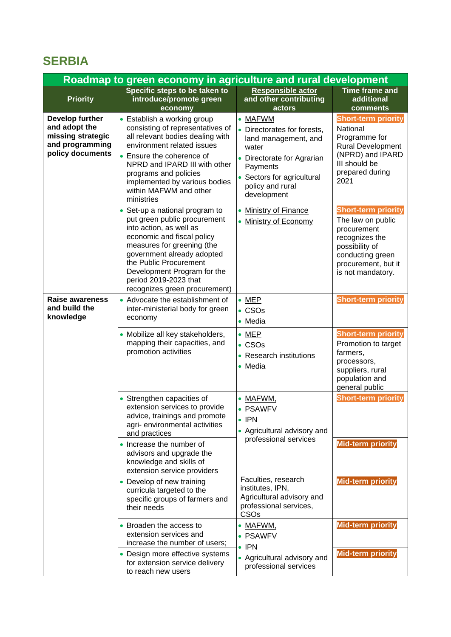### **SERBIA**

| Roadmap to green economy in agriculture and rural development                                |                                                                                                                                                                                                                                                                                                        |                                                                                                                                                                                  |                                                                                                                                                                    |
|----------------------------------------------------------------------------------------------|--------------------------------------------------------------------------------------------------------------------------------------------------------------------------------------------------------------------------------------------------------------------------------------------------------|----------------------------------------------------------------------------------------------------------------------------------------------------------------------------------|--------------------------------------------------------------------------------------------------------------------------------------------------------------------|
| <b>Priority</b>                                                                              | Specific steps to be taken to<br>introduce/promote green<br>economy                                                                                                                                                                                                                                    | Responsible actor<br>and other contributing<br>actors                                                                                                                            | <b>Time frame and</b><br>additional<br>comments                                                                                                                    |
| Develop further<br>and adopt the<br>missing strategic<br>and programming<br>policy documents | • Establish a working group<br>consisting of representatives of<br>all relevant bodies dealing with<br>environment related issues<br>• Ensure the coherence of<br>NPRD and IPARD III with other<br>programs and policies<br>implemented by various bodies<br>within MAFWM and other<br>ministries      | • MAFWM<br>Directorates for forests,<br>land management, and<br>water<br>• Directorate for Agrarian<br>Payments<br>• Sectors for agricultural<br>policy and rural<br>development | <b>Short-term priority</b><br>National<br>Programme for<br><b>Rural Development</b><br>(NPRD) and IPARD<br>III should be<br>prepared during<br>2021                |
|                                                                                              | • Set-up a national program to<br>put green public procurement<br>into action, as well as<br>economic and fiscal policy<br>measures for greening (the<br>government already adopted<br>the Public Procurement<br>Development Program for the<br>period 2019-2023 that<br>recognizes green procurement) | <b>Ministry of Finance</b><br><b>Ministry of Economy</b><br>$\bullet$                                                                                                            | <b>Short-term priority</b><br>The law on public<br>procurement<br>recognizes the<br>possibility of<br>conducting green<br>procurement, but it<br>is not mandatory. |
| <b>Raise awareness</b><br>and build the<br>knowledge                                         | • Advocate the establishment of<br>inter-ministerial body for green<br>economy                                                                                                                                                                                                                         | $\bullet$ MEP<br>$\bullet$ CSOs<br>• Media                                                                                                                                       | <b>Short-term priority</b>                                                                                                                                         |
|                                                                                              | • Mobilize all key stakeholders,<br>mapping their capacities, and<br>promotion activities                                                                                                                                                                                                              | $\bullet$ MEP<br>$\bullet$ CSOs<br><b>Research institutions</b><br>• Media                                                                                                       | <b>Short-term priority</b><br>Promotion to target<br>farmers,<br>processors,<br>suppliers, rural<br>population and<br>general public                               |
|                                                                                              | • Strengthen capacities of<br>extension services to provide<br>advice, trainings and promote<br>agri- environmental activities<br>and practices                                                                                                                                                        | MAFWM,<br><b>PSAWFV</b><br>$\bullet$<br>$\bullet$ IPN<br>• Agricultural advisory and                                                                                             | <b>Short-term priority</b>                                                                                                                                         |
|                                                                                              | • Increase the number of<br>advisors and upgrade the<br>knowledge and skills of<br>extension service providers                                                                                                                                                                                         | professional services                                                                                                                                                            | Mid-term priority                                                                                                                                                  |
|                                                                                              | • Develop of new training<br>curricula targeted to the<br>specific groups of farmers and<br>their needs                                                                                                                                                                                                | Faculties, research<br>institutes, IPN,<br>Agricultural advisory and<br>professional services,<br>CSOs                                                                           | <b>Mid-term priority</b>                                                                                                                                           |
|                                                                                              | • Broaden the access to<br>extension services and<br>increase the number of users;                                                                                                                                                                                                                     | • MAFWM,<br><b>PSAWFV</b><br>$\bullet$ IPN                                                                                                                                       | <b>Mid-term priority</b>                                                                                                                                           |
|                                                                                              | • Design more effective systems<br>for extension service delivery<br>to reach new users                                                                                                                                                                                                                | • Agricultural advisory and<br>professional services                                                                                                                             | Mid-term priority                                                                                                                                                  |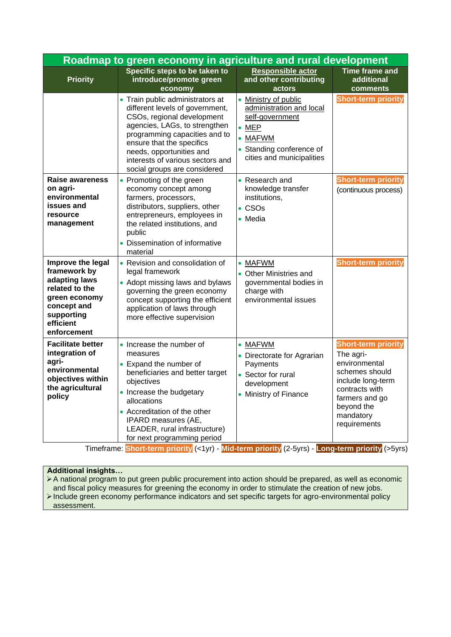| Roadmap to green economy in agriculture and rural development                                                                                  |                                                                                                                                                                                                                                                                                                  |                                                                                                                                                                             |                                                                                                                                                                                |
|------------------------------------------------------------------------------------------------------------------------------------------------|--------------------------------------------------------------------------------------------------------------------------------------------------------------------------------------------------------------------------------------------------------------------------------------------------|-----------------------------------------------------------------------------------------------------------------------------------------------------------------------------|--------------------------------------------------------------------------------------------------------------------------------------------------------------------------------|
| <b>Priority</b>                                                                                                                                | Specific steps to be taken to<br>introduce/promote green<br>economy                                                                                                                                                                                                                              | Responsible actor<br>and other contributing<br>actors                                                                                                                       | <b>Time frame and</b><br>additional<br>comments                                                                                                                                |
|                                                                                                                                                | • Train public administrators at<br>different levels of government,<br>CSOs, regional development<br>agencies, LAGs, to strengthen<br>programming capacities and to<br>ensure that the specifics<br>needs, opportunities and<br>interests of various sectors and<br>social groups are considered | Ministry of public<br>$\bullet$<br>administration and local<br>self-government<br>$\bullet$ MEP<br>$\bullet$ MAFWM<br>• Standing conference of<br>cities and municipalities | <b>Short-term priority</b>                                                                                                                                                     |
| Raise awareness<br>on agri-<br>environmental<br>issues and<br>resource<br>management                                                           | • Promoting of the green<br>economy concept among<br>farmers, processors,<br>distributors, suppliers, other<br>entrepreneurs, employees in<br>the related institutions, and<br>public<br>• Dissemination of informative<br>material                                                              | • Research and<br>knowledge transfer<br>institutions,<br>$\cdot$ CSOs<br>$\bullet$ Media                                                                                    | <b>Short-term priority</b><br>(continuous process)                                                                                                                             |
| Improve the legal<br>framework by<br>adapting laws<br>related to the<br>green economy<br>concept and<br>supporting<br>efficient<br>enforcement | • Revision and consolidation of<br>legal framework<br>• Adopt missing laws and bylaws<br>governing the green economy<br>concept supporting the efficient<br>application of laws through<br>more effective supervision                                                                            | • MAFWM<br>• Other Ministries and<br>governmental bodies in<br>charge with<br>environmental issues                                                                          | <b>Short-term priority</b>                                                                                                                                                     |
| <b>Facilitate better</b><br>integration of<br>agri-<br>environmental<br>objectives within<br>the agricultural<br>policy                        | • Increase the number of<br>measures<br>• Expand the number of<br>beneficiaries and better target<br>objectives<br>• Increase the budgetary<br>allocations<br>• Accreditation of the other<br>IPARD measures (AE,<br>LEADER, rural infrastructure)<br>for next programming period                | • MAFWM<br>• Directorate for Agrarian<br>Payments<br>• Sector for rural<br>development<br>• Ministry of Finance                                                             | <b>Short-term priority</b><br>The agri-<br>environmental<br>schemes should<br>include long-term<br>contracts with<br>farmers and go<br>beyond the<br>mandatory<br>requirements |

#### **Additional insights…**

➢A national program to put green public procurement into action should be prepared, as well as economic and fiscal policy measures for greening the economy in order to stimulate the creation of new jobs. ➢Include green economy performance indicators and set specific targets for agro-environmental policy

assessment.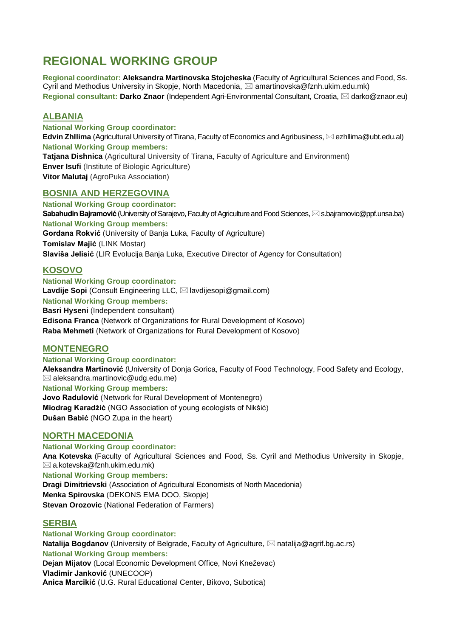### **REGIONAL WORKING GROUP**

**Regional coordinator: Aleksandra Martinovska Stojcheska** (Faculty of Agricultural Sciences and Food, Ss. Cyril and Methodius University in Skopje, North Macedonia,  $\boxtimes$  amartinovska@fznh.ukim.edu.mk) **Regional consultant: Darko Znaor** (Independent Agri-Environmental Consultant, Croatia, ⊠ darko@znaor.eu)

#### **ALBANIA**

**National Working Group coordinator: Edvin Zhllima** (Agricultural University of Tirana, Faculty of Economics and Agribusiness, ⊠ ezhllima@ubt.edu.al) **National Working Group members: Tatjana Dishnica** (Agricultural University of Tirana, Faculty of Agriculture and Environment) **Enver Isufi** (Institute of Biologic Agriculture) **Vitor Malutaj** (AgroPuka Association)

#### **BOSNIA AND HERZEGOVINA**

**National Working Group coordinator: Sabahudin Bajramović** (University of Sarajevo, Faculty of Agriculture and Food Sciences, ⊠ s.bajramovic@ppf.unsa.ba) **National Working Group members: Gordana Rokvić** (University of Banja Luka, Faculty of Agriculture) **Tomislav Majić** (LINK Mostar) **Slaviša Jelisić** (LIR Evolucija Banja Luka, Executive Director of Agency for Consultation)

#### **KOSOVO**

**National Working Group coordinator: Lavdije Sopi** (Consult Engineering LLC, ⊠ lavdijesopi@gmail.com) **National Working Group members: Basri Hyseni** (Independent consultant) **Edisona Franca** (Network of Organizations for Rural Development of Kosovo) **Raba Mehmeti** (Network of Organizations for Rural Development of Kosovo)

#### **MONTENEGRO**

**National Working Group coordinator:**

**Aleksandra Martinović** (University of Donja Gorica, Faculty of Food Technology, Food Safety and Ecology,  $\boxtimes$  aleksandra.martinovic@udg.edu.me)

**National Working Group members:**

**Jovo Radulović** (Network for Rural Development of Montenegro) **Miodrag Karadžić** (NGO Association of young ecologists of Nikšić) **Dušan Babić** (NGO Zupa in the heart)

#### **NORTH MACEDONIA**

**National Working Group coordinator: Ana Kotevska** (Faculty of Agricultural Sciences and Food, Ss. Cyril and Methodius University in Skopje,  $\boxtimes$  a.kotevska@fznh.ukim.edu.mk) **National Working Group members: Dragi Dimitrievski** (Association of Agricultural Economists of North Macedonia) **Menka Spirovska** (DEKONS EMA DOO, Skopje)

**Stevan Orozovic** (National Federation of Farmers)

#### **SERBIA**

**National Working Group coordinator: Natalija Bogdanov** (University of Belgrade, Faculty of Agriculture, ⊠ natalija@agrif.bg.ac.rs) **National Working Group members: Dejan Mijatov** (Local Economic Development Office, Novi Kneževac) **Vladimir Janković** (UNECOOP) **Anica Marcikić** (U.G. Rural Educational Center, Bikovo, Subotica)